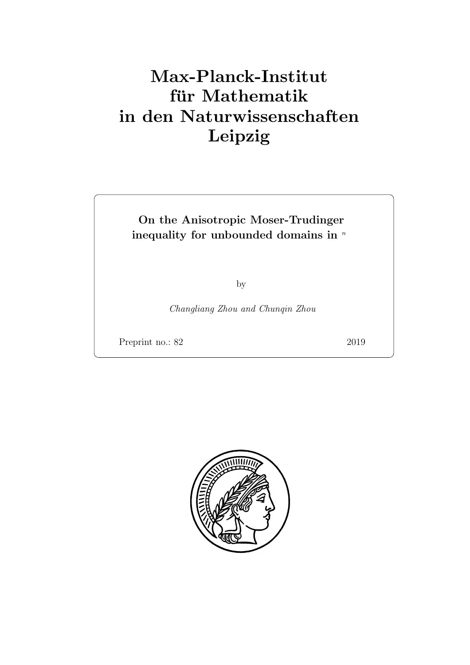# Max-Planck-Institut für Mathematik in den Naturwissenschaften Leipzig

# On the Anisotropic Moser-Trudinger inequality for unbounded domains in  $\sqrt[n]{ }$

by

Changliang Zhou and Chunqin Zhou

Preprint no.: 82 2019

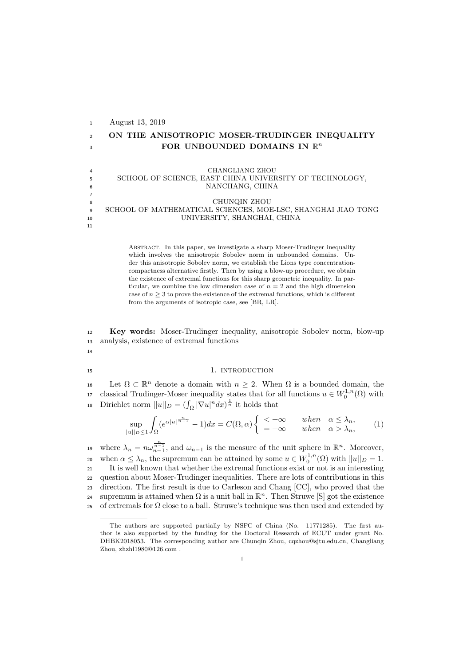August 13, 2019 ON THE ANISOTROPIC MOSER-TRUDINGER INEQUALITY 3 FOR UNBOUNDED DOMAINS IN  $\mathbb{R}^n$  CHANGLIANG ZHOU SCHOOL OF SCIENCE, EAST CHINA UNIVERSITY OF TECHNOLOGY, NANCHANG, CHINA 7 CHUNQIN ZHOU SCHOOL OF MATHEMATICAL SCIENCES, MOE-LSC, SHANGHAI JIAO TONG UNIVERSITY, SHANGHAI, CHINA

> ABSTRACT. In this paper, we investigate a sharp Moser-Trudinger inequality which involves the anisotropic Sobolev norm in unbounded domains. Under this anisotropic Sobolev norm, we establish the Lions type concentrationcompactness alternative firstly. Then by using a blow-up procedure, we obtain the existence of extremal functions for this sharp geometric inequality. In particular, we combine the low dimension case of  $n = 2$  and the high dimension case of  $n \geq 3$  to prove the existence of the extremal functions, which is different from the arguments of isotropic case, see [BR, LR].

<sup>12</sup> Key words: Moser-Trudinger inequality, anisotropic Sobolev norm, blow-up <sup>13</sup> analysis, existence of extremal functions

14

11

#### 15 15 1. INTRODUCTION

16 Let Ω ⊂  $\mathbb{R}^n$  denote a domain with  $n ≥ 2$ . When Ω is a bounded domain, the <sup>17</sup> classical Trudinger-Moser inequality states that for all functions  $u \in W_0^{1,n}(\Omega)$  with 18 Dirichlet norm  $||u||_D = (\int_{\Omega} |\nabla u|^n dx)^{\frac{1}{n}}$  it holds that

$$
\sup_{||u||_D \le 1} \int_{\Omega} (e^{\alpha |u|^{\frac{n}{n-1}}} - 1) dx = C(\Omega, \alpha) \begin{cases} \le +\infty & when \quad \alpha \le \lambda_n, \\ = +\infty & when \quad \alpha > \lambda_n, \end{cases} (1)
$$

19 where  $\lambda_n = n\omega_{n-1}^{\frac{n}{n-1}}$ , and  $\omega_{n-1}$  is the measure of the unit sphere in  $\mathbb{R}^n$ . Moreover, 20 when  $\alpha \leq \lambda_n$ , the supremum can be attained by some  $u \in W_0^{1,n}(\Omega)$  with  $||u||_D = 1$ . <sup>21</sup> It is well known that whether the extremal functions exist or not is an interesting <sup>22</sup> question about Moser-Trudinger inequalities. There are lots of contributions in this <sup>23</sup> direction. The first result is due to Carleson and Chang [CC], who proved that the supremum is attained when  $\Omega$  is a unit ball in  $\mathbb{R}^n$ . Then Struwe [S] got the existence 25 of extremals for  $\Omega$  close to a ball. Struwe's technique was then used and extended by

The authors are supported partially by NSFC of China (No. 11771285). The first author is also supported by the funding for the Doctoral Research of ECUT under grant No. DHBK2018053. The corresponding author are Chunqin Zhou, cqzhou@sjtu.edu.cn, Changliang Zhou, zhzhl1980@126.com .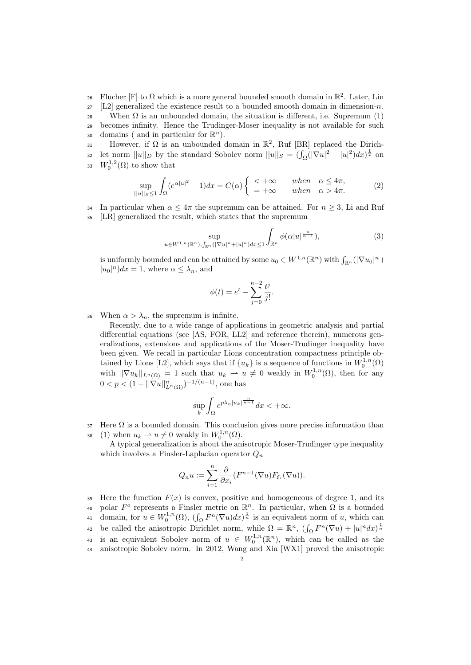26 Flucher [F] to  $\Omega$  which is a more general bounded smooth domain in  $\mathbb{R}^2$ . Later, Lin  $27$  [L2] generalized the existence result to a bounded smooth domain in dimension-n. 28 When  $\Omega$  is an unbounded domain, the situation is different, i.e. Supremum (1) <sup>29</sup> becomes infinity. Hence the Trudinger-Moser inequality is not available for such so domains ( and in particular for  $\mathbb{R}^n$ ).

31 However, if  $\Omega$  is an unbounded domain in  $\mathbb{R}^2$ , Ruf [BR] replaced the Dirich-32 let norm  $||u||_D$  by the standard Sobolev norm  $||u||_S = (\int_{\Omega} (|\nabla u|^2 + |u|^2) dx)^{\frac{1}{2}}$  on 33  $W_0^{1,2}(\Omega)$  to show that

$$
\sup_{||u||_{S} \le 1} \int_{\Omega} (e^{\alpha |u|^2} - 1) dx = C(\alpha) \begin{cases} < +\infty & when \quad \alpha \le 4\pi, \\ = +\infty & when \quad \alpha > 4\pi. \end{cases} (2)
$$

34 In particular when  $\alpha \leq 4\pi$  the supremum can be attained. For  $n \geq 3$ , Li and Ruf <sup>35</sup> [LR] generalized the result, which states that the supremum

$$
\sup_{u\in W^{1,n}(\mathbb{R}^n),\int_{\mathbb{R}^n}(|\nabla u|^n+|u|^n)dx\le 1}\int_{\mathbb{R}^n}\phi(\alpha|u|^{\frac{n}{n-1}}),\tag{3}
$$

is uniformly bounded and can be attained by some  $u_0 \in W^{1,n}(\mathbb{R}^n)$  with  $\int_{\mathbb{R}^n} (|\nabla u_0|^n +$  $|u_0|^n dx = 1$ , where  $\alpha \leq \lambda_n$ , and

$$
\phi(t) = e^t - \sum_{j=0}^{n-2} \frac{t^j}{j!}.
$$

36 When  $\alpha > \lambda_n$ , the supremum is infinite.

Recently, due to a wide range of applications in geometric analysis and partial differential equations (see [AS, FOR, LL2] and reference therein), numerous generalizations, extensions and applications of the Moser-Trudinger inequality have been given. We recall in particular Lions concentration compactness principle obtained by Lions [L2], which says that if  $\{u_k\}$  is a sequence of functions in  $W_0^{1,n}(\Omega)$ with  $||\nabla u_k||_{L^n(\Omega)} = 1$  such that  $u_k \rightharpoonup u \neq 0$  weakly in  $W_0^{1,n}(\Omega)$ , then for any  $0 < p < (1 - ||\nabla u||^n_{L^n(\Omega)})^{-1/(n-1)},$  one has

$$
\sup_{k}\int_{\Omega}e^{p\lambda_{n}|u_{k}|^{\frac{n}{n-1}}}dx<+\infty.
$$

 $37$  Here  $\Omega$  is a bounded domain. This conclusion gives more precise information than 38 (1) when  $u_k \rightharpoonup u \neq 0$  weakly in  $W_0^{1,n}(\Omega)$ .

A typical generalization is about the anisotropic Moser-Trudinger type inequality which involves a Finsler-Laplacian operator  $Q_n$ 

$$
Q_n u := \sum_{i=1}^n \frac{\partial}{\partial x_i} (F^{n-1}(\nabla u) F_{\xi_i}(\nabla u)).
$$

Here the function  $F(x)$  is convex, positive and homogeneous of degree 1, and its 40 polar  $F^o$  represents a Finsler metric on  $\mathbb{R}^n$ . In particular, when  $\Omega$  is a bounded 41 domain, for  $u \in W_0^{1,n}(\Omega)$ ,  $(\int_{\Omega} F^n(\nabla u) dx)^{\frac{1}{n}}$  is an equivalent norm of u, which can 42 be called the anisotropic Dirichlet norm, while  $\Omega = \mathbb{R}^n$ ,  $(\int_{\Omega} F^n(\nabla u) + |u|^n dx)^{\frac{1}{n}}$ 43 is an equivalent Sobolev norm of  $u \in W_0^{1,n}(\mathbb{R}^n)$ , which can be called as the anisotropic Sobolev norm. In 2012, Wang and Xia [WX1] proved the anisotropic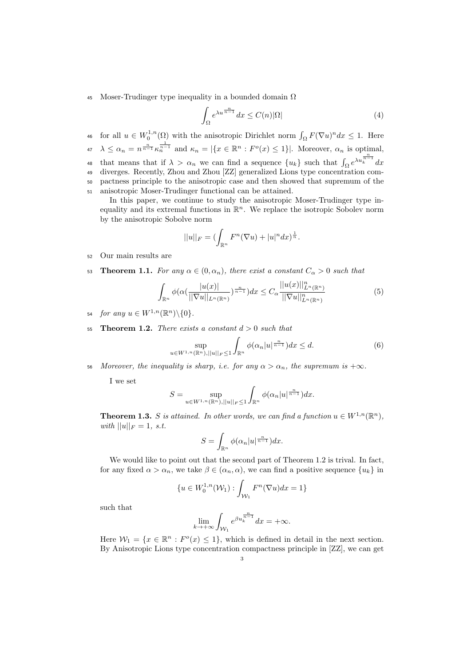45 Moser-Trudinger type inequality in a bounded domain  $\Omega$ 

$$
\int_{\Omega} e^{\lambda u^{\frac{n}{n-1}}} dx \le C(n)|\Omega| \tag{4}
$$

46 for all  $u \in W_0^{1,n}(\Omega)$  with the anisotropic Dirichlet norm  $\int_{\Omega} F(\nabla u)^n dx \leq 1$ . Here  $\lambda \leq \alpha_n = n^{\frac{n}{n-1}} \kappa_n^{\frac{1}{n-1}}$  and  $\kappa_n = |\{x \in \mathbb{R}^n : F^o(x) \leq 1\}|$ . Moreover,  $\alpha_n$  is optimal, 48 that means that if  $\lambda > \alpha_n$  we can find a sequence  $\{u_k\}$  such that  $\int_{\Omega} e^{\lambda u_k^{\frac{n}{n-1}}} dx$  diverges. Recently, Zhou and Zhou [ZZ] generalized Lions type concentration com- pactness principle to the anisotropic case and then showed that supremum of the anisotropic Moser-Trudinger functional can be attained.

In this paper, we continue to study the anisotropic Moser-Trudinger type inequality and its extremal functions in  $\mathbb{R}^n$ . We replace the isotropic Sobolev norm by the anisotropic Sobolve norm

$$
||u||_F = (\int_{\mathbb{R}^n} F^n(\nabla u) + |u|^n dx)^{\frac{1}{n}}.
$$

- <sup>52</sup> Our main results are
- 53 **Theorem 1.1.** For any  $\alpha \in (0, \alpha_n)$ , there exist a constant  $C_{\alpha} > 0$  such that

$$
\int_{\mathbb{R}^n} \phi(\alpha(\frac{|u(x)|}{||\nabla u||_{L^n(\mathbb{R}^n)}})^{\frac{n}{n-1}})dx \le C_\alpha \frac{||u(x)||_{L^n(\mathbb{R}^n)}^{n}}{||\nabla u||_{L^n(\mathbb{R}^n)}^n} \tag{5}
$$

- 54 for any  $u \in W^{1,n}(\mathbb{R}^n) \backslash \{0\}.$
- 55 Theorem 1.2. There exists a constant  $d > 0$  such that

$$
\sup_{u \in W^{1,n}(\mathbb{R}^n), ||u||_F \le 1} \int_{\mathbb{R}^n} \phi(\alpha_n |u|^{\frac{n}{n-1}}) dx \le d.
$$
 (6)

56 Moreover, the inequality is sharp, i.e. for any  $\alpha > \alpha_n$ , the supremum is  $+\infty$ .

I we set

$$
S = \sup_{u \in W^{1,n}(\mathbb{R}^n), ||u||_F \le 1} \int_{\mathbb{R}^n} \phi(\alpha_n |u|^{\frac{n}{n-1}}) dx.
$$

**Theorem 1.3.** S is attained. In other words, we can find a function  $u \in W^{1,n}(\mathbb{R}^n)$ , with  $||u||_F = 1$ , s.t.

$$
S = \int_{\mathbb{R}^n} \phi(\alpha_n |u|^{\frac{n}{n-1}}) dx.
$$

We would like to point out that the second part of Theorem 1.2 is trival. In fact, for any fixed  $\alpha > \alpha_n$ , we take  $\beta \in (\alpha_n, \alpha)$ , we can find a positive sequence  $\{u_k\}$  in

$$
\{u \in W_0^{1,n}(\mathcal{W}_1) : \int_{\mathcal{W}_1} F^n(\nabla u) dx = 1\}
$$

such that

$$
\lim_{k \to +\infty} \int_{\mathcal{W}_1} e^{\beta u_k^{\frac{n}{n-1}}} dx = +\infty.
$$

Here  $\mathcal{W}_1 = \{x \in \mathbb{R}^n : F^o(x) \leq 1\}$ , which is defined in detail in the next section. By Anisotropic Lions type concentration compactness principle in [ZZ], we can get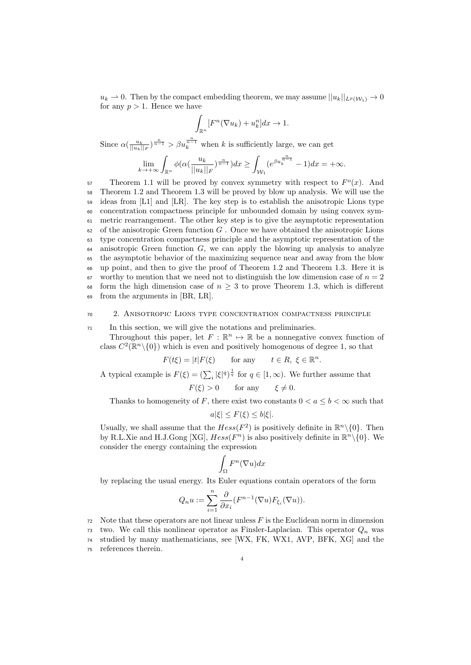$u_k \to 0$ . Then by the compact embedding theorem, we may assume  $||u_k||_{L^p(\mathcal{W}_1)} \to 0$ for any  $p > 1$ . Hence we have

$$
\int_{\mathbb{R}^n} [F^n(\nabla u_k) + u_k^n] dx \to 1.
$$

Since  $\alpha(\frac{u_k}{||u_k||_F})^{\frac{n}{n-1}} > \beta u_k^{\frac{n}{n-1}}$  when k is sufficiently large, we can get

$$
\lim_{k \to +\infty} \int_{\mathbb{R}^n} \phi(\alpha(\frac{u_k}{||u_k||_F})^{\frac{n}{n-1}}) dx \ge \int_{\mathcal{W}_1} (e^{\beta u_k^{\frac{n}{n-1}}} - 1) dx = +\infty.
$$

57 Theorem 1.1 will be proved by convex symmetry with respect to  $F<sup>o</sup>(x)$ . And Theorem 1.2 and Theorem 1.3 will be proved by blow up analysis. We will use the ideas from [L1] and [LR]. The key step is to establish the anisotropic Lions type concentration compactness principle for unbounded domain by using convex sym- metric rearrangement. The other key step is to give the asymptotic representation of the anisotropic Green function G. Once we have obtained the anisotropic Lions type concentration compactness principle and the asymptotic representation of the anisotropic Green function G, we can apply the blowing up analysis to analyze the asymptotic behavior of the maximizing sequence near and away from the blow up point, and then to give the proof of Theorem 1.2 and Theorem 1.3. Here it is  $\sigma$  worthy to mention that we need not to distinguish the low dimension case of  $n = 2$ 68 form the high dimension case of  $n \geq 3$  to prove Theorem 1.3, which is different from the arguments in [BR, LR].

#### <sup>70</sup> 2. Anisotropic Lions type concentration compactness principle

<sup>71</sup> In this section, we will give the notations and preliminaries.

Throughout this paper, let  $F : \mathbb{R}^n \to \mathbb{R}$  be a nonnegative convex function of class  $C^2(\mathbb{R}^n \setminus \{0\})$  which is even and positively homogenous of degree 1, so that

$$
F(t\xi) = |t|F(\xi) \qquad \text{for any} \qquad t \in R, \ \xi \in \mathbb{R}^n.
$$

A typical example is  $F(\xi) = (\sum_i |\xi|^q)^{\frac{1}{q}}$  for  $q \in [1, \infty)$ . We further assume that

$$
F(\xi) > 0 \qquad \text{for any} \qquad \xi \neq 0.
$$

Thanks to homogeneity of F, there exist two constants  $0 < a \leq b < \infty$  such that

$$
a|\xi| \le F(\xi) \le b|\xi|.
$$

Usually, we shall assume that the  $Hess(F^2)$  is positively definite in  $\mathbb{R}^n\setminus\{0\}$ . Then by R.L.Xie and H.J.Gong [XG],  $Hess(F^n)$  is also positively definite in  $\mathbb{R}^n\setminus\{0\}$ . We consider the energy containing the expression

$$
\int_{\Omega} F^n(\nabla u) dx
$$

by replacing the usual energy. Its Euler equations contain operators of the form

$$
Q_n u := \sum_{i=1}^n \frac{\partial}{\partial x_i} (F^{n-1}(\nabla u) F_{\xi_i}(\nabla u)).
$$

 $72$  Note that these operators are not linear unless  $F$  is the Euclidean norm in dimension <sup>73</sup> two. We call this nonlinear operator as Finsler-Laplacian. This operator  $Q_n$  was <sup>74</sup> studied by many mathematicians, see [WX, FK, WX1, AVP, BFK, XG] and the

<sup>75</sup> references therein.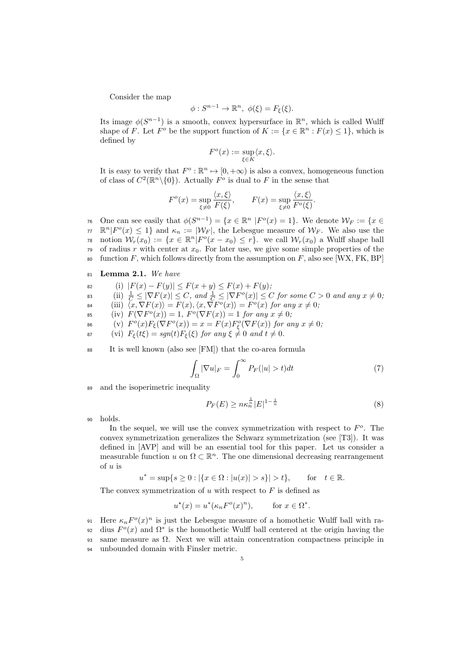Consider the map

$$
\phi: S^{n-1} \to \mathbb{R}^n, \ \phi(\xi) = F_{\xi}(\xi).
$$

Its image  $\phi(S^{n-1})$  is a smooth, convex hypersurface in  $\mathbb{R}^n$ , which is called Wulff shape of F. Let  $F^o$  be the support function of  $K := \{x \in \mathbb{R}^n : F(x) \leq 1\}$ , which is defined by

$$
F^o(x) := \sup_{\xi \in K} \langle x, \xi \rangle.
$$

It is easy to verify that  $F^o : \mathbb{R}^n \to [0, +\infty)$  is also a convex, homogeneous function of class of  $C^2(\mathbb{R}^n\setminus\{0\})$ . Actually  $F^o$  is dual to F in the sense that

$$
F^{o}(x) = \sup_{\xi \neq 0} \frac{\langle x, \xi \rangle}{F(\xi)}, \qquad F(x) = \sup_{\xi \neq 0} \frac{\langle x, \xi \rangle}{F^{o}(\xi)}
$$

76 One can see easily that  $\phi(S^{n-1}) = \{x \in \mathbb{R}^n \; |F^o(x) = 1\}$ . We denote  $\mathcal{W}_F := \{x \in F^o(x) = 1\}$ .  $\pi \mathbb{R}^n | F^o(x) \leq 1$  and  $\kappa_n := |\mathcal{W}_F|$ , the Lebesgue measure of  $\mathcal{W}_F$ . We also use the 78 notion  $\mathcal{W}_r(x_0) := \{x \in \mathbb{R}^n | F^o(x - x_0) \le r\}$ . we call  $\mathcal{W}_r(x_0)$  a Wulff shape ball <sup>79</sup> of radius r with center at  $x_0$ . For later use, we give some simple properties of the 80 function F, which follows directly from the assumption on F, also see [WX, FK, BP]

- <sup>81</sup> Lemma 2.1. We have
- 82 (i)  $|F(x) F(y)| \leq F(x + y) \leq F(x) + F(y);$
- 83 (ii)  $\frac{1}{C} \leq |\nabla F(x)| \leq C$ , and  $\frac{1}{C} \leq |\nabla F^o(x)| \leq C$  for some  $C > 0$  and any  $x \neq 0$ ;
- 84 (iii)  $\langle x, \nabla F(x)\rangle = F(x), \langle x, \nabla F^o(x)\rangle = F^o(x)$  for any  $x \neq 0$ ;
- 85 (iv)  $F(\nabla F^o(x)) = 1$ ,  $F^o(\nabla F(x)) = 1$  for any  $x \neq 0$ ;
- 86 (v)  $F^o(x)F_\xi(\nabla F^o(x)) = x = F(x)F^o_\xi(\nabla F(x))$  for any  $x \neq 0$ ;
- 87 (vi)  $F_{\xi}(t\xi) = sgn(t)F_{\xi}(\xi)$  for any  $\xi \neq 0$  and  $t \neq 0$ .
- <sup>88</sup> It is well known (also see [FM]) that the co-area formula

$$
\int_{\Omega} |\nabla u|_F = \int_0^{\infty} P_F(|u| > t) dt \tag{7}
$$

<sup>89</sup> and the isoperimetric inequality

$$
P_F(E) \ge n\kappa_n^{\frac{1}{n}} |E|^{1 - \frac{1}{n}} \tag{8}
$$

.

<sup>90</sup> holds.

In the sequel, we will use the convex symmetrization with respect to  $F<sup>o</sup>$ . The convex symmetrization generalizes the Schwarz symmetrization (see [T3]). It was defined in [AVP] and will be an essential tool for this paper. Let us consider a measurable function u on  $\Omega \subset \mathbb{R}^n$ . The one dimensional decreasing rearrangement of  $u$  is

$$
u^* = \sup\{s \ge 0 : |\{x \in \Omega : |u(x)| > s\}| > t\},
$$
 for  $t \in \mathbb{R}$ .

The convex symmetrization of  $u$  with respect to  $F$  is defined as

$$
u^*(x) = u^*(\kappa_n F^o(x)^n), \quad \text{for } x \in \Omega^*.
$$

91 Here  $\kappa_n F^o(x)^n$  is just the Lebesgue measure of a homothetic Wulff ball with ra-92 dius  $F^o(x)$  and  $\Omega^*$  is the homothetic Wulff ball centered at the origin having the 93 same measure as  $\Omega$ . Next we will attain concentration compactness principle in <sup>94</sup> unbounded domain with Finsler metric.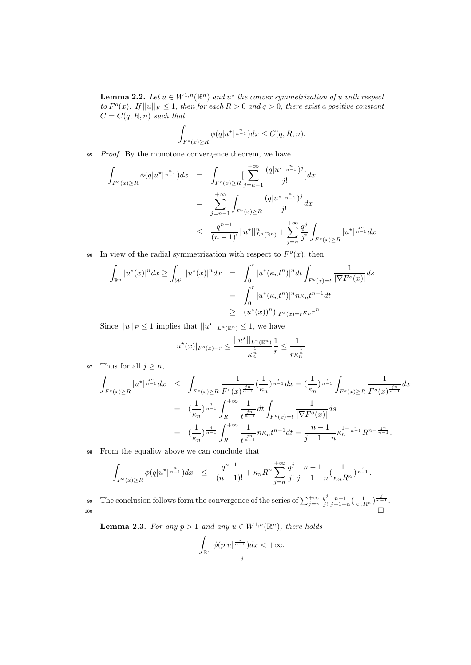**Lemma 2.2.** Let  $u \in W^{1,n}(\mathbb{R}^n)$  and  $u^*$  the convex symmetrization of u with respect to  $F^o(x)$ . If  $||u||_F \leq 1$ , then for each  $R > 0$  and  $q > 0$ , there exist a positive constant  $C = C(q, R, n)$  such that

$$
\int_{F^o(x)\ge R} \phi(q|u^\star|^{\frac{n}{n-1}})dx \le C(q, R, n).
$$

<sup>95</sup> Proof. By the monotone convergence theorem, we have

$$
\int_{F^o(x)\geq R} \phi(q|u^{\star}|^{\frac{n}{n-1}})dx = \int_{F^o(x)\geq R} \left[\sum_{j=n-1}^{+\infty} \frac{(q|u^{\star}|^{\frac{n}{n-1}})^j}{j!} \right] dx
$$
\n
$$
= \sum_{j=n-1}^{+\infty} \int_{F^o(x)\geq R} \frac{(q|u^{\star}|^{\frac{n}{n-1}})^j}{j!} dx
$$
\n
$$
\leq \frac{q^{n-1}}{(n-1)!} ||u^{\star}||^n_{L^n(\mathbb{R}^n)} + \sum_{j=n}^{+\infty} \frac{q^j}{j!} \int_{F^o(x)\geq R} |u^{\star}|^{\frac{jn}{n-1}} dx
$$

<sup>96</sup> In view of the radial symmetrization with respect to  $F<sup>o</sup>(x)$ , then

$$
\int_{\mathbb{R}^n} |u^*(x)|^n dx \ge \int_{\mathcal{W}_r} |u^*(x)|^n dx = \int_0^r |u^*(\kappa_n t^n)|^n dt \int_{F^o(x)=t} \frac{1}{|\nabla F^o(x)|} ds
$$
  

$$
= \int_0^r |u^*(\kappa_n t^n)|^n n \kappa_n t^{n-1} dt
$$
  

$$
\ge (u^*(x))^n)|_{F^o(x)=r} \kappa_n r^n.
$$

Since  $||u||_F \leq 1$  implies that  $||u^*||_{L^n(\mathbb{R}^n)} \leq 1$ , we have

$$
u^{\star}(x)|_{F^o(x)=r}\leq \frac{||u^{\star}||_{L^n(\mathbb{R}^n)}}{\kappa_n^{\frac{1}{n}}}\frac{1}{r}\leq \frac{1}{r\kappa_n^{\frac{1}{n}}}.
$$

97 Thus for all  $j \geq n$ ,

$$
\int_{F^o(x)\geq R} |u^\star|^{\frac{jn}{n-1}} dx \leq \int_{F^o(x)\geq R} \frac{1}{F^o(x)^{\frac{jn}{n-1}}} (\frac{1}{\kappa_n})^{\frac{j}{n-1}} dx = (\frac{1}{\kappa_n})^{\frac{j}{n-1}} \int_{F^o(x)\geq R} \frac{1}{F^o(x)^{\frac{jn}{n-1}}} dx
$$

$$
= (\frac{1}{\kappa_n})^{\frac{j}{n-1}} \int_R^{+\infty} \frac{1}{t^{\frac{jn}{n-1}}} dt \int_{F^o(x)=t} \frac{1}{|\nabla F^o(x)|} ds
$$

$$
= (\frac{1}{\kappa_n})^{\frac{j}{n-1}} \int_R^{+\infty} \frac{1}{t^{\frac{jn}{n-1}}} n\kappa_n t^{n-1} dt = \frac{n-1}{j+1-n} \kappa_n^{1-\frac{j}{n-1}} R^{n-\frac{jn}{n-1}}.
$$

<sup>98</sup> From the equality above we can conclude that

$$
\int_{F^o(x)\geq R} \phi(q|u^\star|^{\frac{n}{n-1}})dx \leq \frac{q^{n-1}}{(n-1)!} + \kappa_n R^n \sum_{j=n}^{+\infty} \frac{q^j}{j!} \frac{n-1}{j+1-n} (\frac{1}{\kappa_n R^n})^{\frac{j}{n-1}}.
$$

The conclusion follows form the convergence of the series of  $\sum_{j=n}^{+\infty} \frac{q^j}{j!}$ 99 The conclusion follows form the convergence of the series of  $\sum_{j=n}^{+\infty} \frac{q^j}{j!} \frac{n-1}{j+1-n} \left(\frac{1}{\kappa_n R^n}\right)^{\frac{j}{n-1}}$ .  $\overline{\phantom{a}}$  100

**Lemma 2.3.** For any  $p > 1$  and any  $u \in W^{1,n}(\mathbb{R}^n)$ , there holds

$$
\int_{\mathbb{R}^n} \phi(p|u|^{\frac{n}{n-1}}) dx < +\infty.
$$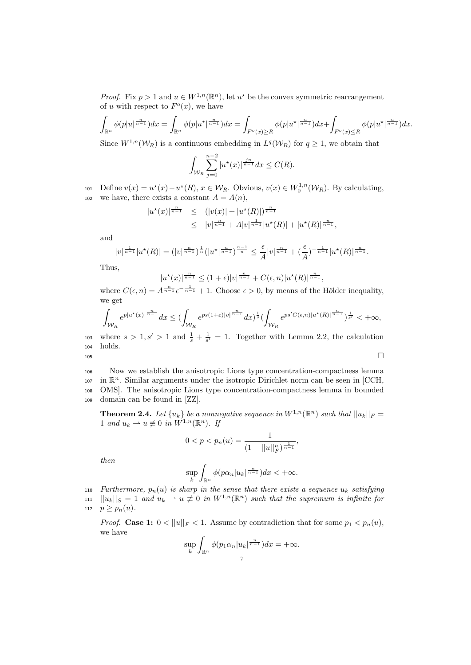*Proof.* Fix  $p > 1$  and  $u \in W^{1,n}(\mathbb{R}^n)$ , let  $u^*$  be the convex symmetric rearrangement of u with respect to  $F^o(x)$ , we have

$$
\int_{\mathbb{R}^n} \phi(p|u|^{\frac{n}{n-1}}) dx = \int_{\mathbb{R}^n} \phi(p|u^{\star}|^{\frac{n}{n-1}}) dx = \int_{F^o(x) \ge R} \phi(p|u^{\star}|^{\frac{n}{n-1}}) dx + \int_{F^o(x) \le R} \phi(p|u^{\star}|^{\frac{n}{n-1}}) dx.
$$

Since  $W^{1,n}(\mathcal{W}_R)$  is a continuous embedding in  $L^q(\mathcal{W}_R)$  for  $q \geq 1$ , we obtain that

$$
\int_{\mathcal{W}_R} \sum_{j=0}^{n-2} |u^*(x)|^{\frac{j^n}{n-1}} dx \le C(R).
$$

101 Define  $v(x) = u^*(x) - u^*(R)$ ,  $x \in \mathcal{W}_R$ . Obvious,  $v(x) \in W_0^{1,n}(\mathcal{W}_R)$ . By calculating, 102 we have, there exists a constant  $A = A(n)$ ,

$$
|u^*(x)|^{\frac{n}{n-1}} \le (|v(x)| + |u^*(R)|)^{\frac{n}{n-1}} \le |v|^{\frac{n}{n-1}} + A|v|^{\frac{1}{n-1}}|u^*(R)| + |u^*(R)|^{\frac{n}{n-1}},
$$

and

$$
|v|^{\frac{1}{n-1}}|u^{\star}(R)| = (|v|^{\frac{n}{n-1}})^{\frac{1}{n}}(|u^{\star}|^{\frac{n}{n-1}})^{\frac{n-1}{n}} \leq \frac{\epsilon}{A}|v|^{\frac{n}{n-1}} + (\frac{\epsilon}{A})^{-\frac{1}{n-1}}|u^{\star}(R)|^{\frac{n}{n-1}}.
$$

Thus,

$$
|u^{\star}(x)|^{\frac{n}{n-1}} \le (1+\epsilon)|v|^{\frac{n}{n-1}} + C(\epsilon, n)|u^{\star}(R)|^{\frac{n}{n-1}},
$$

where  $C(\epsilon, n) = A^{\frac{n}{n-1}} \epsilon^{-\frac{1}{n-1}} + 1$ . Choose  $\epsilon > 0$ , by means of the Hölder inequality, we get

$$
\int_{\mathcal{W}_R} e^{p|u^\star(x)|^{\frac{n}{n-1}}} dx \leq \bigl(\int_{\mathcal{W}_R} e^{p s (1+\varepsilon)|v|^{\frac{n}{n-1}}} dx\bigr)^{\frac{1}{s}} \bigl(\int_{\mathcal{W}_R} e^{p s' C(\epsilon,n)|u^\star(R)|^{\frac{n}{n-1}}}\bigr)^{\frac{1}{s'}} <+\infty,
$$

103 where  $s > 1, s' > 1$  and  $\frac{1}{s} + \frac{1}{s'} = 1$ . Together with Lemma 2.2, the calculation <sup>104</sup> holds.  $105$ 

 Now we establish the anisotropic Lions type concentration-compactness lemma  $i$ <sup>107</sup> in  $\mathbb{R}^n$ . Similar arguments under the isotropic Dirichlet norm can be seen in [CCH, OMS]. The anisotropic Lions type concentration-compactness lemma in bounded domain can be found in [ZZ].

**Theorem 2.4.** Let  $\{u_k\}$  be a nonnegative sequence in  $W^{1,n}(\mathbb{R}^n)$  such that  $||u_k||_F =$ 1 and  $u_k \rightharpoonup u \not\equiv 0$  in  $W^{1,n}(\mathbb{R}^n)$ . If

$$
0 < p < p_n(u) = \frac{1}{(1 - ||u||_F^n)^{\frac{1}{n-1}}},
$$

then

$$
\sup_k \int_{\mathbb{R}^n} \phi(p\alpha_n|u_k|^{\frac{n}{n-1}}) dx < +\infty.
$$

110 Furthermore,  $p_n(u)$  is sharp in the sense that there exists a sequence  $u_k$  satisfying 111  $||u_k||_S = 1$  and  $u_k \rightharpoonup u \neq 0$  in  $W^{1,n}(\mathbb{R}^n)$  such that the supremum is infinite for 112  $p \geq p_n(u)$ .

*Proof.* Case 1:  $0 < ||u||_F < 1$ . Assume by contradiction that for some  $p_1 < p_n(u)$ , we have

$$
\sup_{k} \int_{\mathbb{R}^n} \phi(p_1 \alpha_n |u_k|^{\frac{n}{n-1}}) dx = +\infty.
$$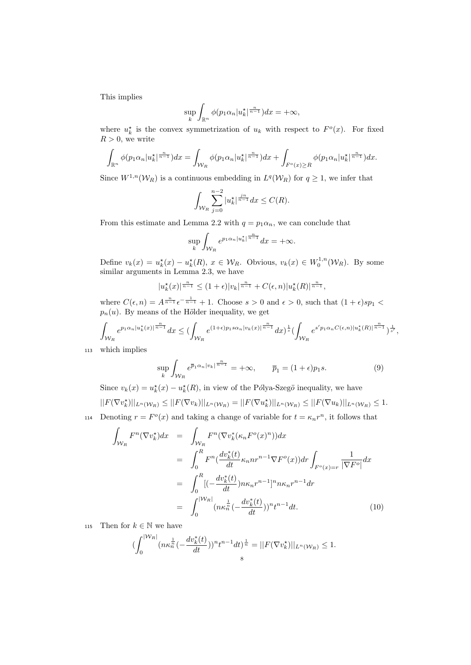This implies

$$
\sup_{k}\int_{\mathbb{R}^{n}}\phi(p_{1}\alpha_{n}|u_{k}^{\star}|^{\frac{n}{n-1}})dx=+\infty,
$$

where  $u_k^*$  is the convex symmetrization of  $u_k$  with respect to  $F^o(x)$ . For fixed  $R > 0$ , we write

$$
\int_{\mathbb{R}^n} \phi(p_1 \alpha_n |u_k^{\star}|^{\frac{n}{n-1}}) dx = \int_{\mathcal{W}_R} \phi(p_1 \alpha_n |u_k^{\star}|^{\frac{n}{n-1}}) dx + \int_{F^o(x) \ge R} \phi(p_1 \alpha_n |u_k^{\star}|^{\frac{n}{n-1}}) dx.
$$

Since  $W^{1,n}(\mathcal{W}_R)$  is a continuous embedding in  $L^q(\mathcal{W}_R)$  for  $q \geq 1$ , we infer that

$$
\int_{\mathcal{W}_R} \sum_{j=0}^{n-2} |u_k^{\star}|^{\frac{j}{n-1}} dx \le C(R).
$$

From this estimate and Lemma 2.2 with  $q = p_1 \alpha_n$ , we can conclude that

$$
\sup_{k} \int_{\mathcal{W}_R} e^{p_1 \alpha_n |u_k^{\star}|^{\frac{n}{n-1}}} dx = +\infty.
$$

Define  $v_k(x) = u_k^*(x) - u_k^*(R)$ ,  $x \in \mathcal{W}_R$ . Obvious,  $v_k(x) \in W_0^{1,n}(\mathcal{W}_R)$ . By some similar arguments in Lemma 2.3, we have

$$
|u_k^{\star}(x)|^{\frac{n}{n-1}} \le (1+\epsilon)|v_k|^{\frac{n}{n-1}} + C(\epsilon, n)|u_k^{\star}(R)|^{\frac{n}{n-1}},
$$

where  $C(\epsilon, n) = A^{\frac{n}{n-1}} \epsilon^{-\frac{1}{n-1}} + 1$ . Choose  $s > 0$  and  $\epsilon > 0$ , such that  $(1 + \epsilon)sp_1 <$  $p_n(u)$ . By means of the Hölder inequality, we get

$$
\int_{\mathcal{W}_R} e^{p_1 \alpha_n |u_k^{\star}(x)|^{\frac{n}{n-1}}} dx \leq \left( \int_{\mathcal{W}_R} e^{(1+\epsilon)p_1 s \alpha_n |v_k(x)|^{\frac{n}{n-1}}} dx \right)^{\frac{1}{s}} \left( \int_{\mathcal{W}_R} e^{s' p_1 \alpha_n C(\epsilon, n) |u_k^{\star}(R)|^{\frac{n}{n-1}}} \right)^{\frac{1}{s'}},
$$

<sup>113</sup> which implies

$$
\sup_{k} \int_{\mathcal{W}_R} e^{\overline{p}_1 \alpha_n |v_k|^{\frac{n}{n-1}}} = +\infty, \qquad \overline{p}_1 = (1+\epsilon)p_1 s. \tag{9}
$$

Since  $v_k(x) = u_k^*(x) - u_k^*(R)$ , in view of the Pólya-Szegö inequality, we have

$$
||F(\nabla v_k^*)||_{L^n(\mathcal{W}_R)} \leq ||F(\nabla v_k)||_{L^n(\mathcal{W}_R)} = ||F(\nabla u_k^*)||_{L^n(\mathcal{W}_R)} \leq ||F(\nabla u_k)||_{L^n(\mathcal{W}_R)} \leq 1.
$$

114 Denoting  $r = F^o(x)$  and taking a change of variable for  $t = \kappa_n r^n$ , it follows that

$$
\int_{\mathcal{W}_R} F^n(\nabla v_k^{\star}) dx = \int_{\mathcal{W}_R} F^n(\nabla v_k^{\star} (\kappa_n F^o(x)^n)) dx
$$
\n
$$
= \int_0^R F^n(\frac{dv_k^{\star}(t)}{dt} \kappa_n n r^{n-1} \nabla F^o(x)) dr \int_{F^o(x) = r} \frac{1}{|\nabla F^o|} dx
$$
\n
$$
= \int_0^R [(-\frac{dv_k^{\star}(t)}{dt}) n \kappa_n r^{n-1}]^n n \kappa_n r^{n-1} dr
$$
\n
$$
= \int_0^{|\mathcal{W}_R|} (n \kappa_n^{\frac{1}{n}} (-\frac{dv_k^{\star}(t)}{dt}))^n t^{n-1} dt. \tag{10}
$$

115 Then for  $k \in \mathbb{N}$  we have

$$
(\int_0^{\left|\mathcal{W}_R\right|} (n\kappa_n^{\frac{1}{n}}(-\frac{dv_k^*(t)}{dt}))^nt^{n-1}dt)^{\frac{1}{n}} = ||F(\nabla v_k^*)||_{L^n(\mathcal{W}_R)} \le 1.
$$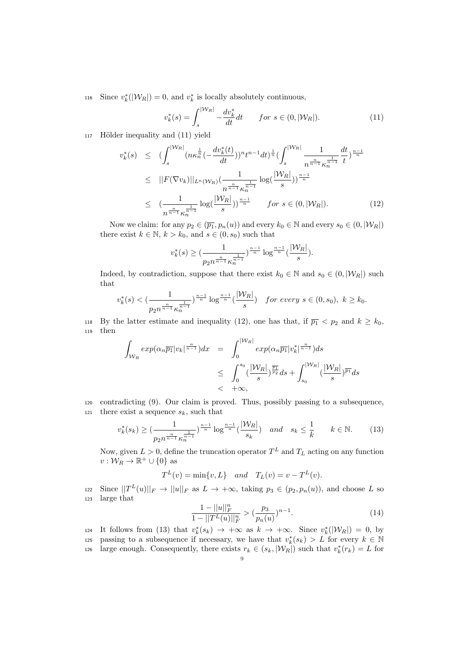116 Since  $v_k^*$ ( $|\mathcal{W}_R|$ ) = 0, and  $v_k^*$  is locally absolutely continuous,

$$
v_k^*(s) = \int_s^{|W_R|} -\frac{dv_k^*}{dt}dt \qquad for \ s \in (0, |W_R|). \tag{11}
$$

 $_{117}$  Hölder inequality and  $(11)$  yield

$$
v_k^*(s) \leq (\int_s^{\left|W_R\right|} (n\kappa_n^{\frac{1}{n}}(-\frac{dv_k^*(t)}{dt}))^n t^{n-1} dt)^{\frac{1}{n}} (\int_s^{\left|W_R\right|} \frac{1}{n^{\frac{n}{n-1}} \kappa_n^{\frac{1}{n-1}}} \frac{dt}{t})^{\frac{n-1}{n}}
$$
  
\n
$$
\leq ||F(\nabla v_k)||_{L^n(W_R)} (\frac{1}{n^{\frac{n}{n-1}} \kappa_n^{\frac{1}{n-1}}} \log(\frac{|\mathcal{W}_R|}{s}))^{\frac{n-1}{n}}
$$
  
\n
$$
\leq (\frac{1}{n^{\frac{n}{n-1}} \kappa_n^{\frac{1}{n-1}}} \log(\frac{|\mathcal{W}_R|}{s}))^{\frac{n-1}{n}} \quad \text{for } s \in (0, |\mathcal{W}_R|). \tag{12}
$$

Now we claim: for any  $p_2 \in (\overline{p_1}, p_n(u))$  and every  $k_0 \in \mathbb{N}$  and every  $s_0 \in (0, |\mathcal{W}_R|)$ there exist  $k \in \mathbb{N}$ ,  $k > k_0$ , and  $s \in (0, s_0)$  such that

$$
v_k^*(s) \ge \left(\frac{1}{p_2 n^{\frac{n}{n-1}} \kappa_n^{\frac{1}{n-1}}}\right)^{\frac{n-1}{n}} \log^{\frac{n-1}{n}}\left(\frac{|\mathcal{W}_R|}{s}\right).
$$

Indeed, by contradiction, suppose that there exist  $k_0 \in \mathbb{N}$  and  $s_0 \in (0, |\mathcal{W}_R|)$  such that

$$
v_k^*(s) < \left(\frac{1}{p_2 n^{\frac{n}{n-1}} \kappa_n^{\frac{1}{n-1}}}\right)^{\frac{n-1}{n}} \log^{\frac{n-1}{n}}\left(\frac{|\mathcal{W}_R|}{s}\right) \quad for\ every\ s \in (0, s_0),\ k \ge k_0.
$$

118 By the latter estimate and inequality (12), one has that, if  $\overline{p_1} < p_2$  and  $k \geq k_0$ , <sup>119</sup> then

$$
\int_{\mathcal{W}_R} exp(\alpha_n \overline{p_1}|v_k|^{\frac{n}{n-1}}) dx = \int_0^{|\mathcal{W}_R|} exp(\alpha_n \overline{p_1}|v_k^*|^{\frac{n}{n-1}}) ds
$$
  
\n
$$
\leq \int_0^{s_0} \left(\frac{|\mathcal{W}_R|}{s}\right)^{\frac{1}{p_2}} ds + \int_{s_0}^{|\mathcal{W}_R|} \left(\frac{|\mathcal{W}_R|}{s}\right)^{\frac{1}{p_1}} ds
$$
  
\n
$$
< +\infty,
$$

<sup>120</sup> contradicting (9). Our claim is proved. Thus, possibly passing to a subsequence, 121 there exist a sequence  $s_k$ , such that

$$
v_k^*(s_k) \ge \left(\frac{1}{p_2 n^{\frac{n}{n-1}} \kappa_n^{\frac{1}{n-1}}}\right)^{\frac{n-1}{n}} \log^{\frac{n-1}{n}}\left(\frac{|\mathcal{W}_R|}{s_k}\right) \quad \text{and} \quad s_k \le \frac{1}{k} \qquad k \in \mathbb{N}.\tag{13}
$$

Now, given  $L > 0$ , define the truncation operator  $T<sup>L</sup>$  and  $T<sub>L</sub>$  acting on any function  $v: \mathcal{W}_R \to \mathbb{R}^+ \cup \{0\}$  as

$$
T^{L}(v) = \min\{v, L\} \quad and \quad T_{L}(v) = v - T^{L}(v).
$$

122 Since  $||T^L(u)||_F \to ||u||_F$  as  $L \to +\infty$ , taking  $p_3 \in (p_2, p_n(u))$ , and choose L so <sup>123</sup> large that

$$
\frac{1 - ||u||_F^n}{1 - ||T^L(u)||_F^n} > \left(\frac{p_3}{p_n(u)}\right)^{n-1}.\tag{14}
$$

124 It follows from (13) that  $v_k^*(s_k) \to +\infty$  as  $k \to +\infty$ . Since  $v_k^*(|\mathcal{W}_R|) = 0$ , by 125 passing to a subsequence if necessary, we have that  $v_k^*(s_k) > L$  for every  $k \in \mathbb{N}$ 126 large enough. Consequently, there exists  $r_k \in (s_k, |\mathcal{W}_R|)$  such that  $v_k^*(r_k) = L$  for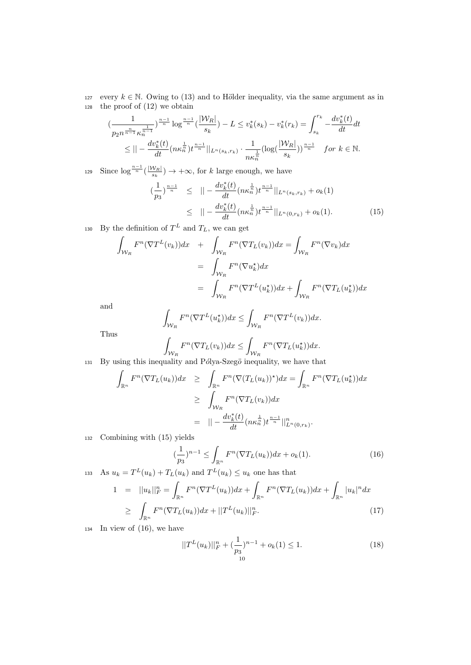127 every  $k \in \mathbb{N}$ . Owing to (13) and to Hölder inequality, via the same argument as in <sup>128</sup> the proof of (12) we obtain

$$
\left(\frac{1}{p_2 n^{\frac{n}{n-1}} \kappa_n^{\frac{1}{n-1}}}\right)^{\frac{n-1}{n}} \log^{\frac{n-1}{n}}\left(\frac{|\mathcal{W}_R|}{s_k}\right) - L \le v_k^*(s_k) - v_k^*(r_k) = \int_{s_k}^{r_k} -\frac{dv_k^*(t)}{dt} dt
$$
  

$$
\le || -\frac{dv_k^*(t)}{dt} (n\kappa_n^{\frac{1}{n}}) t^{\frac{n-1}{n}} ||_{L^n(s_k, r_k)} \cdot \frac{1}{n\kappa_n^{\frac{1}{n}}} (\log(\frac{|\mathcal{W}_R|}{s_k}))^{\frac{n-1}{n}} \text{ for } k \in \mathbb{N}.
$$

Since  $\log^{\frac{n-1}{n}}(\frac{|\mathcal{W}_R|}{s})$ 129 Since  $\log^{\frac{n-1}{n}}(\frac{|W_{R}|}{s_{k}}) \rightarrow +\infty$ , for k large enough, we have

$$
\begin{array}{rcl}\n(\frac{1}{p_3})^{\frac{n-1}{n}} & \leq & \|\n- \frac{dv_k^*(t)}{dt}(n\kappa_n^{\frac{1}{n}})t^{\frac{n-1}{n}}\|_{L^n(s_k,r_k)} + o_k(1) \\
& \leq & \|\n- \frac{dv_k^*(t)}{dt}(n\kappa_n^{\frac{1}{n}})t^{\frac{n-1}{n}}\|_{L^n(0,r_k)} + o_k(1).\n\end{array} \tag{15}
$$

130 By the definition of  $T^L$  and  $T_L$ , we can get

$$
\int_{\mathcal{W}_R} F^n(\nabla T^L(v_k))dx + \int_{\mathcal{W}_R} F^n(\nabla T_L(v_k))dx = \int_{\mathcal{W}_R} F^n(\nabla v_k)dx
$$

$$
= \int_{\mathcal{W}_R} F^n(\nabla u_k^*)dx
$$

$$
= \int_{\mathcal{W}_R} F^n(\nabla T^L(u_k^*))dx + \int_{\mathcal{W}_R} F^n(\nabla T_L(u_k^*))dx
$$

and

$$
\int_{\mathcal{W}_R} F^n(\nabla T^L(u_k^{\star}))dx \le \int_{\mathcal{W}_R} F^n(\nabla T^L(v_k))dx.
$$

Thus

$$
\int_{\mathcal{W}_R} F^n(\nabla T_L(v_k))dx \le \int_{\mathcal{W}_R} F^n(\nabla T_L(u_k^{\star}))dx.
$$

$$
_{131}
$$
 By using this inequality and Pólya-Szegö inequality, we have that

$$
\int_{\mathbb{R}^n} F^n(\nabla T_L(u_k))dx \ge \int_{\mathbb{R}^n} F^n(\nabla (T_L(u_k))^*)dx = \int_{\mathbb{R}^n} F^n(\nabla T_L(u_k^*))dx
$$
  
\n
$$
\ge \int_{\mathcal{W}_R} F^n(\nabla T_L(v_k))dx
$$
  
\n
$$
= || -\frac{dv_k^*(t)}{dt}(n\kappa_n^{\frac{1}{n}})t^{\frac{n-1}{n}}||_{L^n(0,r_k)}^n.
$$

<sup>132</sup> Combining with (15) yields

$$
(\frac{1}{p_3})^{n-1} \le \int_{\mathbb{R}^n} F^n(\nabla T_L(u_k))dx + o_k(1). \tag{16}
$$

133 As 
$$
u_k = T^L(u_k) + T_L(u_k)
$$
 and  $T^L(u_k) \le u_k$  one has that  
\n
$$
1 = ||u_k||_F^n = \int_{\mathbb{R}^n} F^n(\nabla T^L(u_k))dx + \int_{\mathbb{R}^n} F^n(\nabla T_L(u_k))dx + \int_{\mathbb{R}^n} |u_k|^n dx
$$
\n
$$
\ge \int_{\mathbb{R}^n} F^n(\nabla T_L(u_k))dx + ||T^L(u_k)||_F^n. \tag{17}
$$

<sup>134</sup> In view of (16), we have

$$
||T^{L}(u_{k})||_{F}^{n} + (\frac{1}{p_{3}})^{n-1} + o_{k}(1) \leq 1.
$$
\n(18)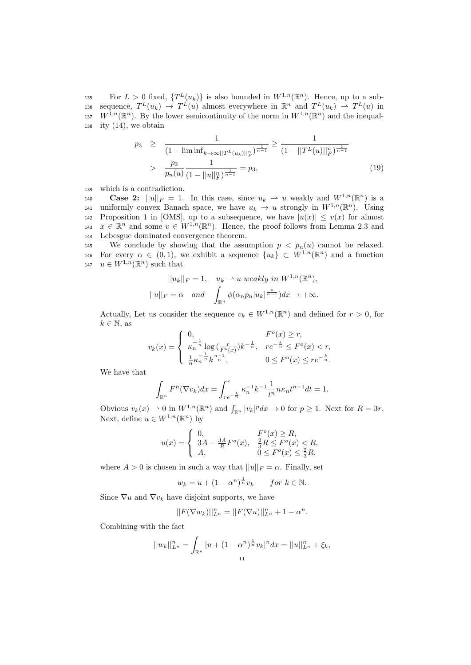135 For  $L > 0$  fixed,  $\{T^L(u_k)\}\$ is also bounded in  $W^{1,n}(\mathbb{R}^n)$ . Hence, up to a sub-136 sequence,  $T^L(u_k) \to T^L(u)$  almost everywhere in  $\mathbb{R}^n$  and  $T^L(u_k) \to T^L(u)$  in 137  $W^{1,n}(\mathbb{R}^n)$ . By the lower semicontinuity of the norm in  $W^{1,n}(\mathbb{R}^n)$  and the inequal-138 ity  $(14)$ , we obtain

$$
p_3 \ge \frac{1}{(1 - \liminf_{k \to \infty} |T^L(u_k)||_F^{\frac{1}{n-1}})} \ge \frac{1}{(1 - ||T^L(u)||_F^{\frac{1}{n-1}})}
$$
  
> 
$$
\frac{p_3}{p_n(u)} \frac{1}{(1 - ||u||_F^{\frac{1}{n-1}})} = p_3,
$$
 (19)

<sup>139</sup> which is a contradiction.

140 **Case 2:**  $||u||_F = 1$ . In this case, since  $u_k \rightharpoonup u$  weakly and  $W^{1,n}(\mathbb{R}^n)$  is a 141 uniformly convex Banach space, we have  $u_k \to u$  strongly in  $W^{1,n}(\mathbb{R}^n)$ . Using 142 Proposition 1 in [OMS], up to a subsequence, we have  $|u(x)| \le v(x)$  for almost 143  $x \in \mathbb{R}^n$  and some  $v \in W^{1,n}(\mathbb{R}^n)$ . Hence, the proof follows from Lemma 2.3 and <sup>144</sup> Lebesgue dominated convergence theorem.

145 We conclude by showing that the assumption  $p < p_n(u)$  cannot be relaxed. 146 For every  $\alpha \in (0,1)$ , we exhibit a sequence  $\{u_k\} \subset W^{1,n}(\mathbb{R}^n)$  and a function 147  $u \in W^{1,n}(\mathbb{R}^n)$  such that

$$
||u_k||_F = 1, \quad u_k \rightharpoonup u \text{ weakly in } W^{1,n}(\mathbb{R}^n),
$$

$$
||u||_F = \alpha \quad \text{and} \quad \int_{\mathbb{R}^n} \phi(\alpha_n p_n |u_k|^{\frac{n}{n-1}}) dx \to +\infty.
$$

Actually, Let us consider the sequence  $v_k \in W^{1,n}(\mathbb{R}^n)$  and defined for  $r > 0$ , for  $k \in \mathbb{N}$ , as

$$
v_k(x) = \begin{cases} 0, & F^o(x) \ge r, \\ \kappa_n^{-\frac{1}{n}} \log(\frac{r}{F^o(x)}) k^{-\frac{1}{n}}, & r e^{-\frac{k}{n}} \le F^o(x) < r, \\ \frac{1}{n} \kappa_n^{-\frac{1}{n}} k^{\frac{n-1}{n}}, & 0 \le F^o(x) \le r e^{-\frac{k}{n}}. \end{cases}
$$

We have that

$$
\int_{\mathbb{R}^n} F^n(\nabla v_k) dx = \int_{re^{-\frac{k}{n}}}^r \kappa_n^{-1} k^{-1} \frac{1}{t^n} n \kappa_n t^{n-1} dt = 1.
$$

Obvious  $v_k(x) \rightharpoonup 0$  in  $W^{1,n}(\mathbb{R}^n)$  and  $\int_{\mathbb{R}^n} |v_k|^p dx \rightharpoonup 0$  for  $p \ge 1$ . Next for  $R = 3r$ , Next, define  $u \in W^{1,n}(\mathbb{R}^n)$  by

$$
u(x) = \begin{cases} 0, & F^{o}(x) \ge R, \\ 3A - \frac{3A}{R}F^{o}(x), & \frac{2}{3}R \le F^{o}(x) < R, \\ A, & 0 \le F^{o}(x) \le \frac{2}{3}R. \end{cases}
$$

where  $A > 0$  is chosen in such a way that  $||u||_F = \alpha$ . Finally, set

$$
w_k = u + (1 - \alpha^n)^{\frac{1}{n}} v_k \quad \text{for } k \in \mathbb{N}.
$$

Since  $\nabla u$  and  $\nabla v_k$  have disjoint supports, we have

$$
||F(\nabla w_k)||_{L^n}^n = ||F(\nabla u)||_{L^n}^n + 1 - \alpha^n.
$$

Combining with the fact

$$
||w_k||_{L^n}^n = \int_{\mathbb{R}^n} |u + (1 - \alpha^n)^{\frac{1}{n}} v_k|^n dx = ||u||_{L^n}^n + \xi_k,
$$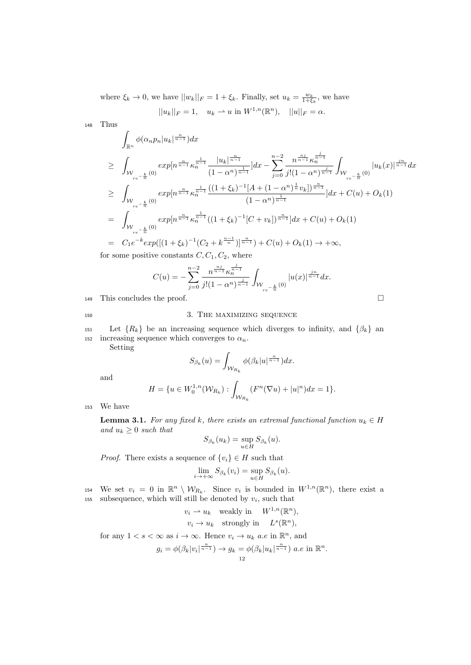where  $\xi_k \to 0$ , we have  $||w_k||_F = 1 + \xi_k$ . Finally, set  $u_k = \frac{w_k}{1 + \xi_k}$ , we have

$$
||u_k||_F = 1
$$
,  $u_k \rightharpoonup u$  in  $W^{1,n}(\mathbb{R}^n)$ ,  $||u||_F = \alpha$ .

<sup>148</sup> Thus

$$
\int_{\mathbb{R}^n} \phi(\alpha_n p_n |u_k|^{\frac{n}{n-1}}) dx
$$
\n
$$
\geq \int_{\mathcal{W}_{re^{-\frac{k}{n}}}(0)} exp[n^{\frac{n}{n-1}} \kappa_n^{\frac{1}{n-1}} \frac{|u_k|^{\frac{n}{n-1}}}{(1-\alpha^n)^{\frac{1}{n-1}}}] dx - \sum_{j=0}^{n-2} \frac{n^{\frac{nj}{n-1}} \kappa_n^{\frac{j}{n-1}}}{j!(1-\alpha^n)^{\frac{j}{n-1}}} \int_{\mathcal{W}_{re^{-\frac{k}{n}}}(0)} |u_k(x)|^{\frac{j}{n-1}} dx
$$
\n
$$
\geq \int_{\mathcal{W}_{re^{-\frac{k}{n}}}(0)} exp[n^{\frac{n}{n-1}} \kappa_n^{\frac{1}{n-1}} \frac{((1+\xi_k)^{-1}[A+(1-\alpha^n)^{\frac{1}{n}} v_k])^{\frac{n}{n-1}}}{(1-\alpha^n)^{\frac{1}{n-1}}}] dx + C(u) + O_k(1)
$$
\n
$$
= \int_{\mathcal{W}_{re^{-\frac{k}{n}}}(0)} exp[n^{\frac{n}{n-1}} \kappa_n^{\frac{1}{n-1}} ((1+\xi_k)^{-1}[C+v_k])^{\frac{n}{n-1}}] dx + C(u) + O_k(1)
$$
\n
$$
= C_1 e^{-k} exp([(1+\xi_k)^{-1}(C_2 + k^{\frac{n-1}{n}})]^{\frac{n}{n-1}}) + C(u) + O_k(1) \to +\infty,
$$

for some positive constants  $C, C_1, C_2$ , where

$$
C(u) = -\sum_{j=0}^{n-2} \frac{n^{\frac{n_j}{n-1}} \kappa_n^{\frac{j}{n-1}}}{j!(1-\alpha^n)^{\frac{j}{n-1}}} \int_{\mathcal{W}_{re^{-\frac{k}{n}}}(0)} |u(x)|^{\frac{j^n}{n-1}} dx.
$$

<sup>149</sup> This concludes the proof.

## 150 3. THE MAXIMIZING SEQUENCE

151 Let  ${R_k}$  be an increasing sequence which diverges to infinity, and  ${\beta_k}$  an 152 increasing sequence which converges to  $\alpha_n$ .

Setting

$$
S_{\beta_k}(u) = \int_{\mathcal{W}_{R_k}} \phi(\beta_k |u|^{\frac{n}{n-1}}) dx.
$$

and

$$
H = \{ u \in W_0^{1,n}(\mathcal{W}_{R_k}) : \int_{\mathcal{W}_{R_k}} (F^n(\nabla u) + |u|^n) dx = 1 \}.
$$

<sup>153</sup> We have

**Lemma 3.1.** For any fixed k, there exists an extremal functional function  $u_k \in H$ and  $u_k \geq 0$  such that

$$
S_{\beta_k}(u_k) = \sup_{u \in H} S_{\beta_k}(u).
$$

*Proof.* There exists a sequence of  $\{v_i\} \in H$  such that

$$
\lim_{i \to +\infty} S_{\beta_k}(v_i) = \sup_{u \in H} S_{\beta_k}(u).
$$

154 We set  $v_i = 0$  in  $\mathbb{R}^n \setminus \mathcal{W}_{R_k}$ . Since  $v_i$  is bounded in  $W^{1,n}(\mathbb{R}^n)$ , there exist a  $155$  subsequence, which will still be denoted by  $v_i$ , such that

$$
v_i \rightharpoonup u_k \quad \text{weakly in} \quad W^{1,n}(\mathbb{R}^n),
$$
  

$$
v_i \rightharpoonup u_k \quad \text{strongly in} \quad L^s(\mathbb{R}^n),
$$

for any  $1 < s < \infty$  as  $i \to \infty$ . Hence  $v_i \to u_k$  a.e in  $\mathbb{R}^n$ , and

$$
g_i = \phi(\beta_k | v_i|^{\frac{n}{n-1}}) \to g_k = \phi(\beta_k | u_k|^{\frac{n}{n-1}}) \ a.e \ in \ \mathbb{R}^n.
$$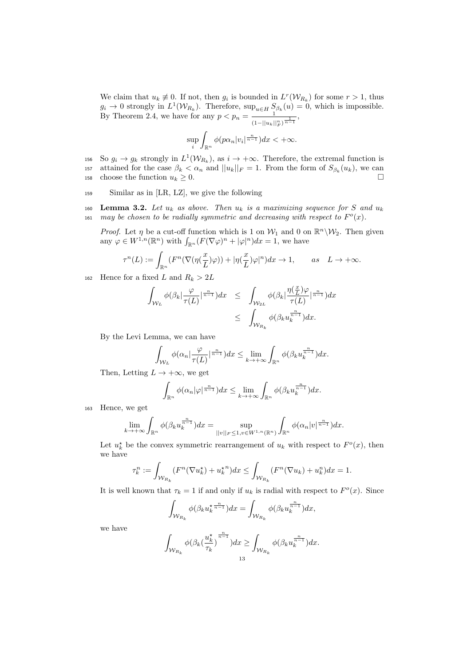We claim that  $u_k \neq 0$ . If not, then  $g_i$  is bounded in  $L^r(\mathcal{W}_{R_k})$  for some  $r > 1$ , thus  $g_i \to 0$  strongly in  $L^1(\mathcal{W}_{R_k})$ . Therefore,  $\sup_{u \in H} S_{\beta_k}(u) = 0$ , which is impossible. By Theorem 2.4, we have for any  $p < p_n = \frac{1}{(n-1)^n}$  $\frac{1}{(1-||u_k||_F^n)^{\frac{1}{n-1}}},$ 

$$
\sup_{i}\int_{\mathbb{R}^n}\phi(p\alpha_n|v_i|^{\frac{n}{n-1}})dx<+\infty.
$$

156 So  $g_i \to g_k$  strongly in  $L^1(\mathcal{W}_{R_k})$ , as  $i \to +\infty$ . Therefore, the extremal function is 157 attained for the case  $\beta_k < \alpha_n$  and  $||u_k||_F = 1$ . From the form of  $S_{\beta_k}(u_k)$ , we can 158 choose the function  $u_k \geq 0$ .

- <sup>159</sup> Similar as in [LR, LZ], we give the following
- 160 Lemma 3.2. Let  $u_k$  as above. Then  $u_k$  is a maximizing sequence for S and  $u_k$ 161 may be chosen to be radially symmetric and decreasing with respect to  $F^o(x)$ .

*Proof.* Let  $\eta$  be a cut-off function which is 1 on  $\mathcal{W}_1$  and 0 on  $\mathbb{R}^n \setminus \mathcal{W}_2$ . Then given any  $\varphi \in W^{1,n}(\mathbb{R}^n)$  with  $\int_{\mathbb{R}^n} (F(\nabla \varphi)^n + |\varphi|^n) dx = 1$ , we have

$$
\tau^n(L) := \int_{\mathbb{R}^n} (F^n(\nabla(\eta(\frac{x}{L})\varphi)) + |\eta(\frac{x}{L})\varphi|^n) dx \to 1, \quad \text{as} \quad L \to +\infty.
$$

162 Hence for a fixed L and  $R_k > 2L$ 

$$
\int_{\mathcal{W}_L} \phi(\beta_k | \frac{\varphi}{\tau(L)} |^{\frac{n}{n-1}}) dx \leq \int_{\mathcal{W}_{2L}} \phi(\beta_k | \frac{\eta(\frac{x}{L})\varphi}{\tau(L)} |^{\frac{n}{n-1}}) dx
$$
  

$$
\leq \int_{\mathcal{W}_{R_k}} \phi(\beta_k u_k^{\frac{n}{n-1}}) dx.
$$

By the Levi Lemma, we can have

$$
\int_{\mathcal{W}_L} \phi(\alpha_n | \frac{\varphi}{\tau(L)} |^{\frac{n}{n-1}}) dx \leq \lim_{k \to +\infty} \int_{\mathbb{R}^n} \phi(\beta_k u_k^{\frac{n}{n-1}}) dx.
$$

Then, Letting  $L \to +\infty$ , we get

$$
\int_{\mathbb{R}^n} \phi(\alpha_n|\varphi|^{\frac{n}{n-1}}) dx \le \lim_{k \to +\infty} \int_{\mathbb{R}^n} \phi(\beta_k u_k^{\frac{n}{n-1}}) dx.
$$

<sup>163</sup> Hence, we get

$$
\lim_{k\to+\infty}\int_{\mathbb{R}^n}\phi(\beta_k u_k^{\frac{n}{n-1}})dx=\sup_{||v||_F\leq 1,v\in W^{1,n}(\mathbb{R}^n)}\int_{\mathbb{R}^n}\phi(\alpha_n|v|^{\frac{n}{n-1}})dx.
$$

Let  $u_k^*$  be the convex symmetric rearrangement of  $u_k$  with respect to  $F^o(x)$ , then we have

$$
\tau_k^n := \int_{\mathcal{W}_{R_k}} (F^n(\nabla u_k^*) + u_k^{*n}) dx \le \int_{\mathcal{W}_{R_k}} (F^n(\nabla u_k) + u_k^n) dx = 1.
$$

It is well known that  $\tau_k = 1$  if and only if  $u_k$  is radial with respect to  $F^o(x)$ . Since

$$
\int_{\mathcal{W}_{R_k}} \phi(\beta_k u_k^{\star \frac{n}{n-1}}) dx = \int_{\mathcal{W}_{R_k}} \phi(\beta_k u_k^{\frac{n}{n-1}}) dx,
$$

we have

$$
\int_{\mathcal{W}_{R_k}} \phi(\beta_k(\frac{u_k^\star}{\tau_k})^{\frac{n}{n-1}})dx \geq \int_{\mathcal{W}_{R_k}} \phi(\beta_k u_k^{\frac{n}{n-1}})dx.
$$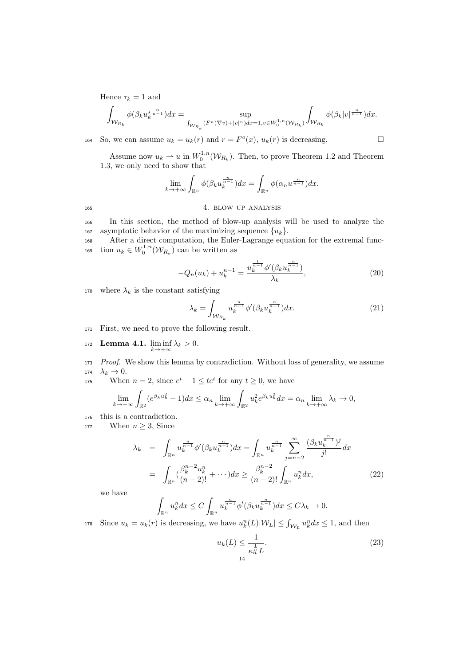Hence  $\tau_k = 1$  and

$$
\int_{\mathcal{W}_{R_k}} \phi(\beta_k u_k^{\star n}^{-n\over n-1}) dx = \sup_{\int_{\mathcal{W}_{R_k}} (F^n(\nabla v) + |v|^n) dx = 1, v \in W_0^{1,n}(\mathcal{W}_{R_k})} \int_{\mathcal{W}_{R_k}} \phi(\beta_k |v|^{\frac{n}{n-1}}) dx.
$$

164 So, we can assume  $u_k = u_k(r)$  and  $r = F<sup>o</sup>(x)$ ,  $u_k(r)$  is decreasing.

Assume now  $u_k \rightharpoonup u$  in  $W_0^{1,n}(\mathcal{W}_{R_k})$ . Then, to prove Theorem 1.2 and Theorem 1.3, we only need to show that

$$
\lim_{k \to +\infty} \int_{\mathbb{R}^n} \phi(\beta_k u_k^{\frac{n}{n-1}}) dx = \int_{\mathbb{R}^n} \phi(\alpha_n u^{\frac{n}{n-1}}) dx.
$$

# <sup>165</sup> 4. blow up analysis

<sup>166</sup> In this section, the method of blow-up analysis will be used to analyze the 167 asymptotic behavior of the maximizing sequence  $\{u_k\}$ .

<sup>168</sup> After a direct computation, the Euler-Lagrange equation for the extremal func-169 tion  $u_k \in W_0^{1,n}(\mathcal{W}_{R_k})$  can be written as

$$
-Q_n(u_k) + u_k^{n-1} = \frac{u_k^{\frac{1}{n-1}} \phi'(\beta_k u_k^{\frac{n}{n-1}})}{\lambda_k},
$$
\n(20)

170 where  $\lambda_k$  is the constant satisfying

$$
\lambda_k = \int_{\mathcal{W}_{R_k}} u_k^{\frac{n}{n-1}} \phi'(\beta_k u_k^{\frac{n}{n-1}}) dx.
$$
\n(21)

- <sup>171</sup> First, we need to prove the following result.
- 172 Lemma 4.1.  $\liminf_{k \to +\infty} \lambda_k > 0$ .
- <sup>173</sup> Proof. We show this lemma by contradiction. Without loss of generality, we assume 174  $\lambda_k \to 0$ .
- 175 When  $n = 2$ , since  $e^t 1 \leq te^t$  for any  $t \geq 0$ , we have

$$
\lim_{k \to +\infty} \int_{\mathbb{R}^2} (e^{\beta_k u_k^2} - 1) dx \le \alpha_n \lim_{k \to +\infty} \int_{\mathbb{R}^2} u_k^2 e^{\beta_k u_k^2} dx = \alpha_n \lim_{k \to +\infty} \lambda_k \to 0,
$$

- <sup>176</sup> this is a contradiction.
- 177 When  $n \geq 3$ , Since

$$
\lambda_k = \int_{\mathbb{R}^n} u_k^{\frac{n}{n-1}} \phi'(\beta_k u_k^{\frac{n}{n-1}}) dx = \int_{\mathbb{R}^n} u_k^{\frac{n}{n-1}} \sum_{j=n-2}^{\infty} \frac{(\beta_k u_k^{\frac{n}{n-1}})^j}{j!} dx
$$

$$
= \int_{\mathbb{R}^n} (\frac{\beta_k^{n-2} u_k^n}{(n-2)!} + \cdots) dx \ge \frac{\beta_k^{n-2}}{(n-2)!} \int_{\mathbb{R}^n} u_k^n dx, \tag{22}
$$

we have

$$
\int_{\mathbb{R}^n} u_k^n dx \le C \int_{\mathbb{R}^n} u_k^{\frac{n}{n-1}} \phi'(\beta_k u_k^{\frac{n}{n-1}}) dx \le C \lambda_k \to 0.
$$

178 Since  $u_k = u_k(r)$  is decreasing, we have  $u_k^n(L)|W_L| \leq \int_{W_L} u_k^n dx \leq 1$ , and then

$$
u_k(L) \le \frac{1}{\kappa_n^{\frac{1}{n}}L}.\tag{23}
$$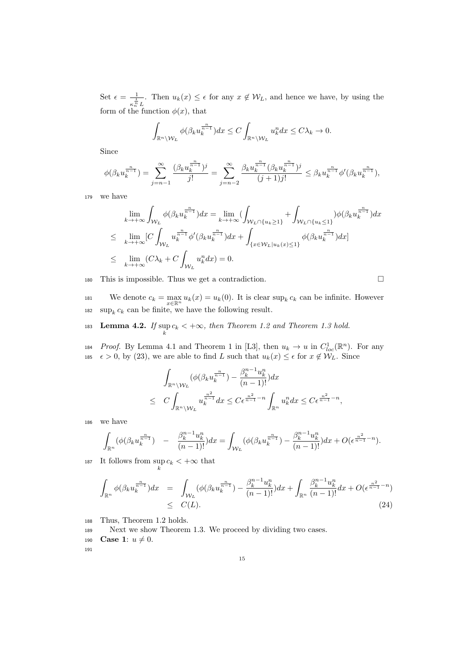Set  $\epsilon = \frac{-1}{1}$  $\frac{1}{\kappa_n^{\frac{1}{n}}L}$ . Then  $u_k(x) \leq \epsilon$  for any  $x \notin \mathcal{W}_L$ , and hence we have, by using the form of the function  $\phi(x)$ , that

$$
\int_{\mathbb{R}^n \setminus \mathcal{W}_L} \phi(\beta_k u_k^{\frac{n}{n-1}}) dx \le C \int_{\mathbb{R}^n \setminus \mathcal{W}_L} u_k^n dx \le C \lambda_k \to 0.
$$

Since

$$
\phi(\beta_k u_k^{\frac{n}{n-1}}) = \sum_{j=n-1}^{\infty} \frac{(\beta_k u_k^{\frac{n}{n-1}})^j}{j!} = \sum_{j=n-2}^{\infty} \frac{\beta_k u_k^{\frac{n}{n-1}}(\beta_k u_k^{\frac{n}{n-1}})^j}{(j+1)j!} \leq \beta_k u_k^{\frac{n}{n-1}} \phi'(\beta_k u_k^{\frac{n}{n-1}}),
$$

<sup>179</sup> we have

$$
\lim_{k \to +\infty} \int_{\mathcal{W}_L} \phi(\beta_k u_k^{\frac{n}{n-1}}) dx = \lim_{k \to +\infty} (\int_{\mathcal{W}_L \cap \{u_k \ge 1\}} + \int_{\mathcal{W}_L \cap \{u_k \le 1\}}) \phi(\beta_k u_k^{\frac{n}{n-1}}) dx
$$
\n
$$
\leq \lim_{k \to +\infty} [C \int_{\mathcal{W}_L} u_k^{\frac{n}{n-1}} \phi'(\beta_k u_k^{\frac{n}{n-1}}) dx + \int_{\{x \in \mathcal{W}_L | u_k(x) \le 1\}} \phi(\beta_k u_k^{\frac{n}{n-1}}) dx]
$$
\n
$$
\leq \lim_{k \to +\infty} (C\lambda_k + C \int_{\mathcal{W}_L} u_k^{\frac{n}{n}} dx) = 0.
$$

180 This is impossible. Thus we get a contradiction.  $\square$ 

181 We denote  $c_k = \max_{x \in \mathbb{R}^n} u_k(x) = u_k(0)$ . It is clear  $\sup_k c_k$  can be infinite. However 182 sup<sub>k</sub>  $c_k$  can be finite, we have the following result.

- 183 Lemma 4.2. If  $\sup_k c_k < +\infty$ , then Theorem 1.2 and Theorem 1.3 hold.
- 184 Proof. By Lemma 4.1 and Theorem 1 in [L3], then  $u_k \to u$  in  $C^1_{loc}(\mathbb{R}^n)$ . For any 185  $\epsilon > 0$ , by (23), we are able to find L such that  $u_k(x) \leq \epsilon$  for  $x \notin \mathcal{W}_L$ . Since

$$
\int_{\mathbb{R}^n \backslash \mathcal{W}_L} (\phi(\beta_k u_k^{\frac{n}{n-1}}) - \frac{\beta_k^{n-1} u_k^n}{(n-1)!}) dx
$$
\n
$$
\leq C \int_{\mathbb{R}^n \backslash \mathcal{W}_L} u_k^{\frac{n^2}{n-1}} dx \leq C \epsilon^{\frac{n^2}{n-1} - n} \int_{\mathbb{R}^n} u_k^n dx \leq C \epsilon^{\frac{n^2}{n-1} - n},
$$

<sup>186</sup> we have

 $\ddot{\phantom{0}}$ 

$$
\int_{\mathbb{R}^n} (\phi(\beta_k u_k^{\frac{n}{n-1}}) - \frac{\beta_k^{n-1} u_k^n}{(n-1)!}) dx = \int_{\mathcal{W}_L} (\phi(\beta_k u_k^{\frac{n}{n-1}}) - \frac{\beta_k^{n-1} u_k^n}{(n-1)!}) dx + O(\epsilon^{\frac{n^2}{n-1} - n}).
$$

187 It follows from  $\sup_k c_k < +\infty$  that

$$
\int_{\mathbb{R}^n} \phi(\beta_k u_k^{\frac{n}{n-1}}) dx = \int_{\mathcal{W}_L} (\phi(\beta_k u_k^{\frac{n}{n-1}}) - \frac{\beta_k^{n-1} u_k^n}{(n-1)!}) dx + \int_{\mathbb{R}^n} \frac{\beta_k^{n-1} u_k^n}{(n-1)!} dx + O(\epsilon^{\frac{n^2}{n-1} - n})
$$
\n
$$
\leq C(L). \tag{24}
$$

- <sup>188</sup> Thus, Theorem 1.2 holds.
- <sup>189</sup> Next we show Theorem 1.3. We proceed by dividing two cases.
- 190 **Case 1:**  $u \neq 0$ .

191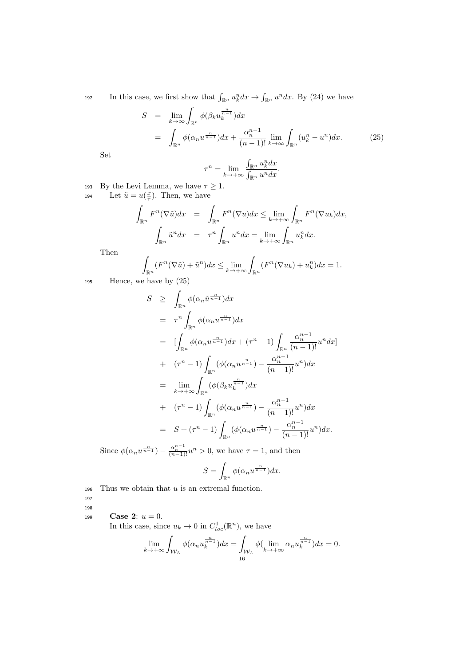192 In this case, we first show that  $\int_{\mathbb{R}^n} u_k^n dx \to \int_{\mathbb{R}^n} u^n dx$ . By (24) we have

$$
S = \lim_{k \to \infty} \int_{\mathbb{R}^n} \phi(\beta_k u_k^{\frac{n}{n-1}}) dx
$$
  
= 
$$
\int_{\mathbb{R}^n} \phi(\alpha_n u^{\frac{n}{n-1}}) dx + \frac{\alpha_n^{n-1}}{(n-1)!} \lim_{k \to \infty} \int_{\mathbb{R}^n} (u_k^n - u^n) dx.
$$
 (25)

Set

$$
\tau^n = \lim_{k \to +\infty} \frac{\int_{\mathbb{R}^n} u_k^n dx}{\int_{\mathbb{R}^n} u^n dx}.
$$

193 By the Levi Lemma, we have  $\tau \geq 1$ .

194 Let  $\tilde{u} = u(\frac{x}{\tau})$ . Then, we have

$$
\int_{\mathbb{R}^n} F^n(\nabla \tilde{u}) dx = \int_{\mathbb{R}^n} F^n(\nabla u) dx \le \lim_{k \to +\infty} \int_{\mathbb{R}^n} F^n(\nabla u_k) dx,
$$

$$
\int_{\mathbb{R}^n} \tilde{u}^n dx = \tau^n \int_{\mathbb{R}^n} u^n dx = \lim_{k \to +\infty} \int_{\mathbb{R}^n} u^n_k dx.
$$

Then

$$
\int_{\mathbb{R}^n} (F^n(\nabla \tilde{u}) + \tilde{u}^n) dx \le \lim_{k \to +\infty} \int_{\mathbb{R}^n} (F^n(\nabla u_k) + u_k^n) dx = 1.
$$

<sup>195</sup> Hence, we have by (25)

$$
S \geq \int_{\mathbb{R}^n} \phi(\alpha_n \tilde{u}^{\frac{n}{n-1}}) dx
$$
  
\n
$$
= \tau^n \int_{\mathbb{R}^n} \phi(\alpha_n u^{\frac{n}{n-1}}) dx
$$
  
\n
$$
= [\int_{\mathbb{R}^n} \phi(\alpha_n u^{\frac{n}{n-1}}) dx + (\tau^n - 1) \int_{\mathbb{R}^n} \frac{\alpha_n^{n-1}}{(n-1)!} u^n dx]
$$
  
\n
$$
+ (\tau^n - 1) \int_{\mathbb{R}^n} (\phi(\alpha_n u^{\frac{n}{n-1}}) - \frac{\alpha_n^{n-1}}{(n-1)!} u^n) dx
$$
  
\n
$$
= \lim_{k \to +\infty} \int_{\mathbb{R}^n} (\phi(\beta_k u^{\frac{n}{n-1}}_k) dx
$$
  
\n
$$
+ (\tau^n - 1) \int_{\mathbb{R}^n} (\phi(\alpha_n u^{\frac{n}{n-1}}) - \frac{\alpha_n^{n-1}}{(n-1)!} u^n) dx
$$
  
\n
$$
= S + (\tau^n - 1) \int_{\mathbb{R}^n} (\phi(\alpha_n u^{\frac{n}{n-1}}) - \frac{\alpha_n^{n-1}}{(n-1)!} u^n) dx.
$$

Since  $\phi(\alpha_n u^{\frac{n}{n-1}}) - \frac{\alpha_n^{n-1}}{(n-1)!}u^n > 0$ , we have  $\tau = 1$ , and then

$$
S = \int_{\mathbb{R}^n} \phi(\alpha_n u^{\frac{n}{n-1}}) dx.
$$

196 Thus we obtain that  $u$  is an extremal function.

197 198

199 **Case 2:**  $u = 0$ .

In this case, since  $u_k \to 0$  in  $C^1_{loc}(\mathbb{R}^n)$ , we have

$$
\lim_{k \to +\infty} \int_{\mathcal{W}_L} \phi(\alpha_n u_k^{\frac{n}{n-1}}) dx = \int_{\mathcal{W}_L} \phi(\lim_{k \to +\infty} \alpha_n u_k^{\frac{n}{n-1}}) dx = 0.
$$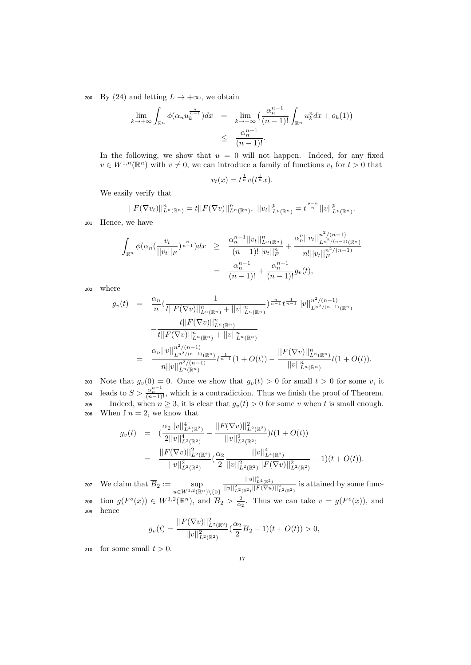200 By (24) and letting  $L \to +\infty$ , we obtain

$$
\lim_{k \to +\infty} \int_{\mathbb{R}^n} \phi(\alpha_n u_k^{\frac{n}{n-1}}) dx = \lim_{k \to +\infty} \left( \frac{\alpha_n^{n-1}}{(n-1)!} \int_{\mathbb{R}^n} u_k^n dx + o_k(1) \right) \le \frac{\alpha_n^{n-1}}{(n-1)!}.
$$

In the following, we show that  $u = 0$  will not happen. Indeed, for any fixed  $v \in W^{1,n}(\mathbb{R}^n)$  with  $v \neq 0$ , we can introduce a family of functions  $v_t$  for  $t > 0$  that

$$
v_t(x) = t^{\frac{1}{n}} v(t^{\frac{1}{n}} x).
$$

We easily verify that

$$
||F(\nabla v_t)||_{L^n(\mathbb{R}^n)}^n = t||F(\nabla v)||_{L^n(\mathbb{R}^n)}^n, ||v_t||_{L^p(\mathbb{R}^n)}^p = t^{\frac{p-n}{n}}||v||_{L^p(\mathbb{R}^n)}^p.
$$

<sup>201</sup> Hence, we have

$$
\int_{\mathbb{R}^n} \phi(\alpha_n(\frac{v_t}{||v_t||_F})^{\frac{n}{n-1}}) dx \ge \frac{\alpha_n^{n-1} ||v_t||_{L^n(\mathbb{R}^n)}^n}{(n-1)! ||v_t||_F^n} + \frac{\alpha_n^{n} ||v_t||_{L^{n^2/(n-1)}(\mathbb{R}^n)}^{n^2/(n-1)}}{n! ||v_t||_F^{n^2/(n-1)}} = \frac{\alpha_n^{n-1}}{(n-1)!} + \frac{\alpha_n^{n-1}}{(n-1)!} g_v(t),
$$

<sup>202</sup> where

$$
g_{v}(t) = \frac{\alpha_{n}}{n} \left( \frac{1}{t||F(\nabla v)||_{L^{n}(\mathbb{R}^{n})}^{n}} + ||v||_{L^{n}(\mathbb{R}^{n})}^{n}} \right)^{\frac{n}{n-1}} t^{\frac{1}{n-1}} ||v||_{L^{n^{2}/(n-1)}(\mathbb{R}^{n})}^{n^{2}/(n-1)}
$$

$$
- \frac{t||F(\nabla v)||_{L^{n}(\mathbb{R}^{n})}^{n}}{t||F(\nabla v)||_{L^{n}(\mathbb{R}^{n})}^{n} + ||v||_{L^{n}(\mathbb{R}^{n})}^{n}}
$$

$$
= \frac{\alpha_{n}||v||_{L^{n^{2}/(n-1)}(\mathbb{R}^{n})}^{n^{2}/(n-1)}}{n||v||_{L^{n}(\mathbb{R}^{n})}^{n^{2}/(n-1)}} t^{\frac{1}{n-1}} (1+O(t)) - \frac{||F(\nabla v)||_{L^{n}(\mathbb{R}^{n})}^{n}}{||v||_{L^{n}(\mathbb{R}^{n})}^{n}} t(1+O(t)).
$$

203 Note that  $g_v(0) = 0$ . Once we show that  $g_v(t) > 0$  for small  $t > 0$  for some v, it leads to  $S > \frac{\alpha_n^{n-1}}{(n-1)!}$ , which is a contradiction. Thus we finish the proof of Theorem. 205 Indeed, when  $n \geq 3$ , it is clear that  $g_v(t) > 0$  for some v when t is small enough. 206 When f  $n = 2$ , we know that

$$
g_v(t) = \left( \frac{\alpha_2 ||v||^4_{L^4(\mathbb{R}^2)}}{2||v||^4_{L^2(\mathbb{R}^2)}} - \frac{||F(\nabla v)||^2_{L^2(\mathbb{R}^2)}}{||v||^2_{L^2(\mathbb{R}^2)}}\right) t(1+O(t))
$$
  

$$
= \frac{||F(\nabla v)||^2_{L^2(\mathbb{R}^2)}}{||v||^2_{L^2(\mathbb{R}^2)}} \left( \frac{\alpha_2}{2} \frac{||v||^4_{L^4(\mathbb{R}^2)}}{||v||^2_{L^2(\mathbb{R}^2)}} ||F(\nabla v)||^2_{L^2(\mathbb{R}^2)} - 1 \right) (t+O(t)).
$$

We claim that  $B_2 := \sup_{u \in W^{1,2}(\mathbb{R}^n) \setminus \{0\}}$ 207 We claim that  $\overline{B}_2 := \sup_{u \in W^{1,2}(\mathbb{R}^n) \setminus \{0\}} \frac{||u||^4_{L^4(\mathbb{R}^2)}}{||u||^2_{L^2(\mathbb{R}^2)} ||F(\nabla u)||^2_{L^2(\mathbb{R}^2)}}$  is attained by some func-208 tion  $g(F^o(x)) \in W^{1,2}(\mathbb{R}^n)$ , and  $\overline{B}_2 > \frac{2}{\alpha_2}$ . Thus we can take  $v = g(F^o(x))$ , and <sup>209</sup> hence

$$
g_v(t) = \frac{||F(\nabla v)||^2_{L^2(\mathbb{R}^2)}}{||v||^2_{L^2(\mathbb{R}^2)}} \left(\frac{\alpha_2}{2}\overline{B}_2 - 1\right)(t + O(t)) > 0,
$$

210 for some small  $t > 0$ .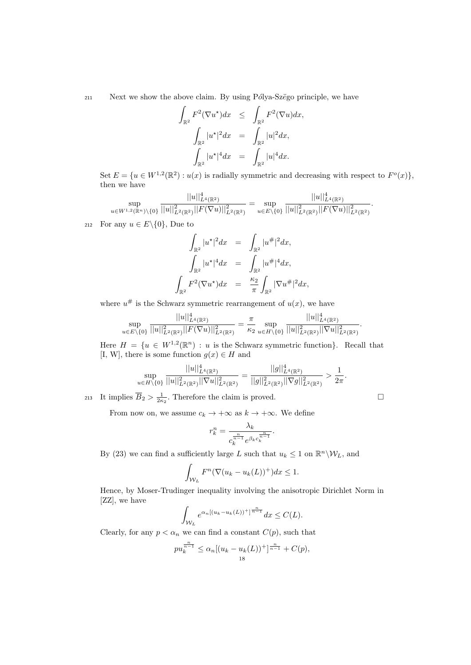$211$  Next we show the above claim. By using Pólya-Szëgo principle, we have

$$
\int_{\mathbb{R}^2} F^2(\nabla u^*) dx \leq \int_{\mathbb{R}^2} F^2(\nabla u) dx,
$$
  

$$
\int_{\mathbb{R}^2} |u^*|^2 dx = \int_{\mathbb{R}^2} |u|^2 dx,
$$
  

$$
\int_{\mathbb{R}^2} |u^*|^4 dx = \int_{\mathbb{R}^2} |u|^4 dx.
$$

Set  $E = \{u \in W^{1,2}(\mathbb{R}^2) : u(x)$  is radially symmetric and decreasing with respect to  $F^o(x)$ , then we have

$$
\sup_{u \in W^{1,2}(\mathbb{R}^n)\backslash\{0\}} \frac{||u||^4_{L^4(\mathbb{R}^2)}}{||u||^2_{L^2(\mathbb{R}^2)}||F(\nabla u)||^2_{L^2(\mathbb{R}^2)}} = \sup_{u \in E\backslash\{0\}} \frac{||u||^4_{L^4(\mathbb{R}^2)}}{||u||^2_{L^2(\mathbb{R}^2)}||F(\nabla u)||^2_{L^2(\mathbb{R}^2)}}.
$$

212 For any  $u \in E \setminus \{0\}$ , Due to

$$
\int_{\mathbb{R}^2} |u^*|^2 dx = \int_{\mathbb{R}^2} |u^*|^2 dx, \n\int_{\mathbb{R}^2} |u^*|^4 dx = \int_{\mathbb{R}^2} |u^*|^4 dx, \n\int_{\mathbb{R}^2} F^2 (\nabla u^*) dx = \frac{\kappa_2}{\pi} \int_{\mathbb{R}^2} |\nabla u^*|^2 dx,
$$

where  $u^{\#}$  is the Schwarz symmetric rearrangement of  $u(x)$ , we have

$$
\sup_{u \in E \setminus \{0\}} \frac{||u||^4_{L^4(\mathbb{R}^2)}}{||u||^2_{L^2(\mathbb{R}^2)} ||F(\nabla u)||^2_{L^2(\mathbb{R}^2)}} = \frac{\pi}{\kappa_2} \sup_{u \in H \setminus \{0\}} \frac{||u||^4_{L^4(\mathbb{R}^2)}}{||u||^2_{L^2(\mathbb{R}^2)} ||\nabla u||^2_{L^2(\mathbb{R}^2)}}.
$$

Here  $H = \{u \in W^{1,2}(\mathbb{R}^n) : u \text{ is the Schwarz symmetric function}\}.$  Recall that [I, W], there is some function  $g(x) \in H$  and

$$
\sup_{u\in H\setminus\{0\}}\frac{||u||^4_{L^4(\mathbb{R}^2)}}{||u||^2_{L^2(\mathbb{R}^2)}||\nabla u||^2_{L^2(\mathbb{R}^2)}}=\frac{||g||^4_{L^4(\mathbb{R}^2)}}{||g||^2_{L^2(\mathbb{R}^2)}||\nabla g||^2_{L^2(\mathbb{R}^2)}}>\frac{1}{2\pi}.
$$

213 It implies  $\overline{B}_2 > \frac{1}{2\kappa_2}$ . Therefore the claim is proved.

Z

From now on, we assume  $c_k \to +\infty$  as  $k \to +\infty$ . We define

$$
r_k^n = \frac{\lambda_k}{c_k^{\frac{n}{n-1}}e^{\beta_k c_k^{\frac{n}{n-1}}}}
$$

.

By (23) we can find a sufficiently large L such that  $u_k \leq 1$  on  $\mathbb{R}^n \setminus \mathcal{W}_L$ , and

$$
\int_{\mathcal{W}_L} F^n(\nabla (u_k - u_k(L))^+) dx \le 1.
$$

Hence, by Moser-Trudinger inequality involving the anisotropic Dirichlet Norm in [ZZ], we have

$$
\int_{\mathcal{W}_L} e^{\alpha_n [(u_k - u_k(L))^\dagger]^{\frac{n}{n-1}}} dx \leq C(L).
$$

Clearly, for any  $p < \alpha_n$  we can find a constant  $C(p)$ , such that

$$
pu_k^{\frac{n}{n-1}} \le \alpha_n [(u_k - u_k(L))^{+}]^{\frac{n}{n-1}} + C(p),
$$
  
18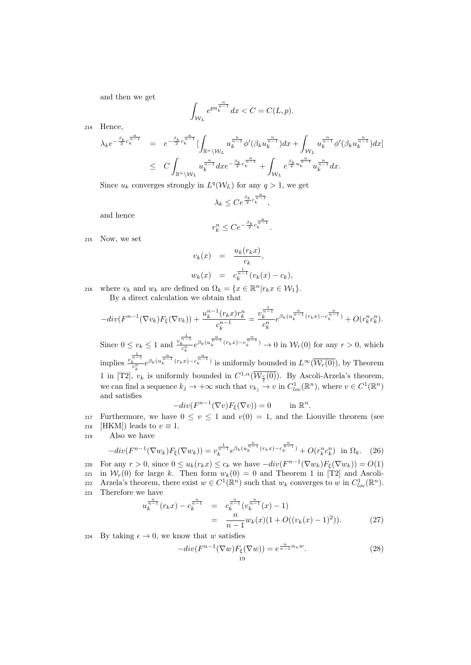and then we get

$$
\int_{\mathcal{W}_L} e^{pu_k^{\frac{n}{n-1}}} dx < C = C(L, p).
$$

<sup>214</sup> Hence,

$$
\begin{array}{lcl} \lambda_k e^{-\frac{\beta_k}{2}c_k^{\frac{n}{n-1}}} & = & e^{-\frac{\beta_k}{2}c_k^{\frac{n}{n-1}}}[\int_{\mathbb{R}^n\backslash \mathcal{W}_L}u_k^{\frac{n}{n-1}}\phi'(\beta_k u_k^{\frac{n}{n-1}})dx + \int_{\mathcal{W}_L}u_k^{\frac{n}{n-1}}\phi'(\beta_k u_k^{\frac{n}{n-1}})dx] \\ & \leq & C\int_{\mathbb{R}^n\backslash \mathcal{W}_L}u_k^{\frac{n}{n-1}}dx e^{-\frac{\beta_k}{2}c_k^{\frac{n}{n-1}}} + \int_{\mathcal{W}_L}e^{\frac{\beta_k}{2}u_k^{\frac{n}{n-1}}}u_k^{\frac{n}{n-1}}dx. \end{array}
$$

Since  $u_k$  converges strongly in  $L^q(\mathcal{W}_L)$  for any  $q > 1$ , we get

$$
\lambda_k \leq Ce^{\frac{\beta_k}{2}c_k^{\frac{n}{n-1}}},
$$

and hence

$$
r_k^n \leq C e^{-\frac{\beta_k}{2}c_k^{\frac{n}{n-1}}}.
$$

<sup>215</sup> Now, we set

$$
v_k(x) = \frac{u_k(r_k x)}{c_k},
$$
  

$$
w_k(x) = c_k^{\frac{1}{n-1}}(v_k(x) - c_k),
$$

216 where  $v_k$  and  $w_k$  are defined on  $\Omega_k = \{x \in \mathbb{R}^n | r_k x \in \mathcal{W}_1\}.$ By a direct calculation we obtain that

$$
-div(F^{n-1}(\nabla v_k)F_{\xi}(\nabla v_k)) + \frac{u_k^{n-1}(r_kx)r_k^n}{c_k^{n-1}} = \frac{v_k^{\frac{1}{n-1}}}{c_k^n}e^{\beta_k(u_k^{\frac{n}{n-1}}(r_kx) - c_k^{\frac{n}{n-1}})} + O(r_k^n c_k^n).
$$

Since  $0 \le v_k \le 1$  and  $\frac{v_k^{\frac{1}{n-1}}}{c_k^n} e^{\beta_k(u_k^{\frac{n}{n-1}}(r_kx)-c_k^{\frac{n}{n-1}})} \to 0$  in  $\mathcal{W}_r(0)$  for any  $r > 0$ , which implies  $\frac{v_k^{\frac{1}{n-1}}}{c_k^n} e^{\beta_k(u_k^{\frac{n}{n-1}}(r_kx)-c_k^{\frac{n}{n-1}})}$  is uniformly bounded in  $L^{\infty}(\overline{\mathcal{W}_r(0)})$ , by Theorem 1 in [T2],  $v_k$  is uniformly bounded in  $C^{1,\alpha}(\overline{\mathcal{W}_{\frac{r}{2}}(0)})$ . By Ascoli-Arzela's theorem, we can find a sequence  $k_j \to +\infty$  such that  $v_{k_j} \to v$  in  $C^1_{loc}(\mathbb{R}^n)$ , where  $v \in C^1(\mathbb{R}^n)$ and satisfies

$$
-div(F^{n-1}(\nabla v)F_{\xi}(\nabla v)) = 0 \quad \text{in } \mathbb{R}^n.
$$

217 Furthermore, we have  $0 \le v \le 1$  and  $v(0) = 1$ , and the Liouville theorem (see 218 [HKM]) leads to  $v \equiv 1$ .

<sup>219</sup> Also we have

$$
-div(F^{n-1}(\nabla w_k)F_{\xi}(\nabla w_k)) = v_k^{\frac{1}{n-1}}e^{\beta_k(u_k^{\frac{n}{n-1}}(r_kx) - c_k^{\frac{n}{n-1}})} + O(r_k^n c_k^n) \text{ in } \Omega_k.
$$
 (26)

220 For any  $r > 0$ , since  $0 \le u_k(r_k x) \le c_k$  we have  $-div(F^{n-1}(\nabla w_k)F_{\xi}(\nabla w_k)) = O(1)$ 221 in  $W_r(0)$  for large k. Then form  $w_k(0) = 0$  and Theorem 1 in [T2] and Ascoli-222 Arzela's theorem, there exist  $w \in C^1(\mathbb{R}^n)$  such that  $w_k$  converges to w in  $C^1_{loc}(\mathbb{R}^n)$ . <sup>223</sup> Therefore we have

$$
u_k^{\frac{n}{n-1}}(r_k x) - c_k^{\frac{n}{n-1}} = c_k^{\frac{n}{n-1}}(v_k^{\frac{n}{n-1}}(x) - 1)
$$
  
= 
$$
\frac{n}{n-1} w_k(x) (1 + O((v_k(x) - 1)^2)).
$$
 (27)

224 By taking  $\epsilon \to 0$ , we know that w satisfies

$$
-div(F^{n-1}(\nabla w)F_{\xi}(\nabla w)) = e^{\frac{n}{n-1}\alpha_n w}.
$$
\n(28)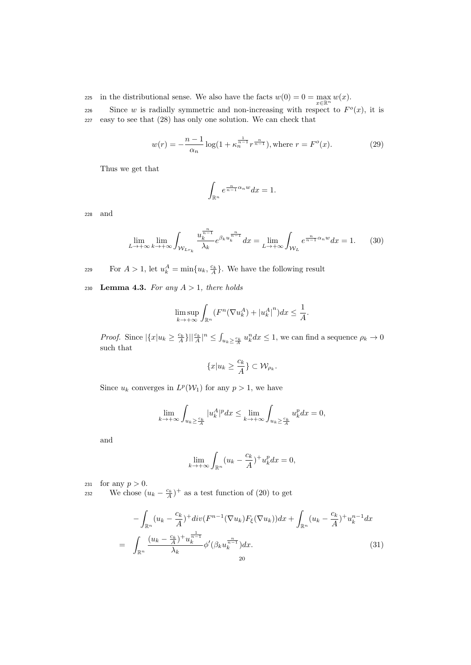225 in the distributional sense. We also have the facts  $w(0) = 0 = \max_{x \in \mathbb{R}^n} w(x)$ .

226 Since w is radially symmetric and non-increasing with respect to  $F^o(x)$ , it is <sup>227</sup> easy to see that (28) has only one solution. We can check that

$$
w(r) = -\frac{n-1}{\alpha_n} \log(1 + \kappa_n^{\frac{1}{n-1}} r^{\frac{n}{n-1}}), \text{where } r = F^o(x). \tag{29}
$$

Thus we get that

$$
\int_{\mathbb{R}^n} e^{\frac{n}{n-1}\alpha_n w} dx = 1.
$$

<sup>228</sup> and

$$
\lim_{L \to +\infty} \lim_{k \to +\infty} \int_{\mathcal{W}_{Lr_k}} \frac{u_k^{\frac{n}{n-1}}}{\lambda_k} e^{\beta_k u_k^{\frac{n}{n-1}}} dx = \lim_{L \to +\infty} \int_{\mathcal{W}_L} e^{\frac{n}{n-1} \alpha_n w} dx = 1.
$$
 (30)

For  $A > 1$ , let  $u_k^A = \min\{u_k, \frac{c_k}{A}\}\$ . We have the following result

230 Lemma 4.3. For any  $A > 1$ , there holds

$$
\limsup_{k \to +\infty} \int_{\mathbb{R}^n} (F^n(\nabla u_k^A) + |u_k^A|^n) dx \le \frac{1}{A}.
$$

*Proof.* Since  $|\{x|u_k \geq \frac{c_k}{A}\}||\frac{c_k}{A}|^n \leq \int_{u_k \geq \frac{c_k}{A}} u_k^n dx \leq 1$ , we can find a sequence  $\rho_k \to 0$ such that

$$
\{x|u_k \ge \frac{c_k}{A}\} \subset \mathcal{W}_{\rho_k}.
$$

Since  $u_k$  converges in  $L^p(\mathcal{W}_1)$  for any  $p > 1$ , we have

$$
\lim_{k \to +\infty} \int_{u_k \ge \frac{c_k}{A}} |u_k^A|^p dx \le \lim_{k \to +\infty} \int_{u_k \ge \frac{c_k}{A}} u_k^p dx = 0,
$$

and

$$
\lim_{k \to +\infty} \int_{\mathbb{R}^n} (u_k - \frac{c_k}{A})^+ u_k^p dx = 0,
$$

231 for any  $p > 0$ .

232 We chose  $(u_k - \frac{c_k}{A})^+$  as a test function of (20) to get

$$
-\int_{\mathbb{R}^n} (u_k - \frac{c_k}{A})^+ \operatorname{div}(F^{n-1}(\nabla u_k) F_{\xi}(\nabla u_k)) dx + \int_{\mathbb{R}^n} (u_k - \frac{c_k}{A})^+ u_k^{n-1} dx
$$
  

$$
= \int_{\mathbb{R}^n} \frac{(u_k - \frac{c_k}{A})^+ u_k^{\frac{1}{n-1}}}{\lambda_k} \phi'(\beta_k u_k^{\frac{n}{n-1}}) dx.
$$
 (31)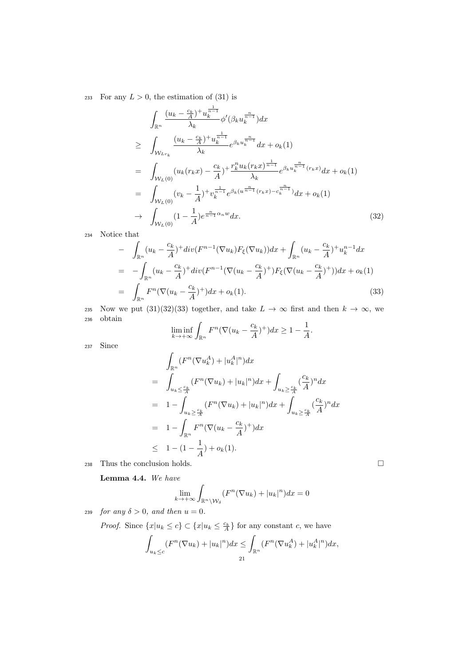233 For any  $L > 0$ , the estimation of (31) is

$$
\int_{\mathbb{R}^n} \frac{(u_k - \frac{c_k}{A})^+ u_k^{\frac{1}{n-1}}}{\lambda_k} \phi'(\beta_k u_k^{\frac{n}{n-1}}) dx
$$
\n
$$
\geq \int_{\mathcal{W}_{Lr_k}} \frac{(u_k - \frac{c_k}{A})^+ u_k^{\frac{1}{n-1}}}{\lambda_k} e^{\beta_k u_k^{\frac{n}{n-1}}} dx + o_k(1)
$$
\n
$$
= \int_{\mathcal{W}_L(0)} (u_k(r_k x) - \frac{c_k}{A})^+ \frac{r_k^n u_k(r_k x)^{\frac{1}{n-1}}}{\lambda_k} e^{\beta_k u_k^{\frac{n}{n-1}}(r_k x)} dx + o_k(1)
$$
\n
$$
= \int_{\mathcal{W}_L(0)} (v_k - \frac{1}{A})^+ v_k^{\frac{1}{n-1}} e^{\beta_k (u^{\frac{n}{n-1}}(r_k x) - c_k^{\frac{n}{n-1}})} dx + o_k(1)
$$
\n
$$
\to \int_{\mathcal{W}_L(0)} (1 - \frac{1}{A}) e^{\frac{n}{n-1} \alpha_n w} dx. \tag{32}
$$

<sup>234</sup> Notice that

$$
- \int_{\mathbb{R}^n} (u_k - \frac{c_k}{A})^+ \operatorname{div}(F^{n-1}(\nabla u_k) F_{\xi}(\nabla u_k)) dx + \int_{\mathbb{R}^n} (u_k - \frac{c_k}{A})^+ u_k^{n-1} dx
$$
  
\n
$$
= - \int_{\mathbb{R}^n} (u_k - \frac{c_k}{A})^+ \operatorname{div}(F^{n-1}(\nabla (u_k - \frac{c_k}{A})^+) F_{\xi}(\nabla (u_k - \frac{c_k}{A})^+)) dx + o_k(1)
$$
  
\n
$$
= \int_{\mathbb{R}^n} F^n(\nabla (u_k - \frac{c_k}{A})^+) dx + o_k(1).
$$
\n(33)

235 Now we put  $(31)(32)(33)$  together, and take  $L \to \infty$  first and then  $k \to \infty$ , we <sup>236</sup> obtain

$$
\liminf_{k \to +\infty} \int_{\mathbb{R}^n} F^n (\nabla (u_k - \frac{c_k}{A})^+) dx \ge 1 - \frac{1}{A}.
$$

<sup>237</sup> Since

$$
\int_{\mathbb{R}^n} (F^n(\nabla u_k^A) + |u_k^A|^n) dx
$$
\n
$$
= \int_{u_k \leq \frac{c_k}{A}} (F^n(\nabla u_k) + |u_k|^n) dx + \int_{u_k \geq \frac{c_k}{A}} (\frac{c_k}{A})^n dx
$$
\n
$$
= 1 - \int_{u_k \geq \frac{c_k}{A}} (F^n(\nabla u_k) + |u_k|^n) dx + \int_{u_k \geq \frac{c_k}{A}} (\frac{c_k}{A})^n dx
$$
\n
$$
= 1 - \int_{\mathbb{R}^n} F^n(\nabla (u_k - \frac{c_k}{A})^+) dx
$$
\n
$$
\leq 1 - (1 - \frac{1}{A}) + o_k(1).
$$
\n238 Thus the conclusion holds.

Lemma 4.4. We have

$$
\lim_{k \to +\infty} \int_{\mathbb{R}^n \setminus \mathcal{W}_\delta} (F^n(\nabla u_k) + |u_k|^n) dx = 0
$$

239 for any  $\delta > 0$ , and then  $u = 0$ .

*Proof.* Since  $\{x | u_k \le c\} \subset \{x | u_k \le \frac{c_k}{A}\}\$ for any constant c, we have

$$
\int_{u_k \leq c} (F^n(\nabla u_k) + |u_k|^n) dx \leq \int_{\mathbb{R}^n} (F^n(\nabla u_k^A) + |u_k^A|^n) dx,
$$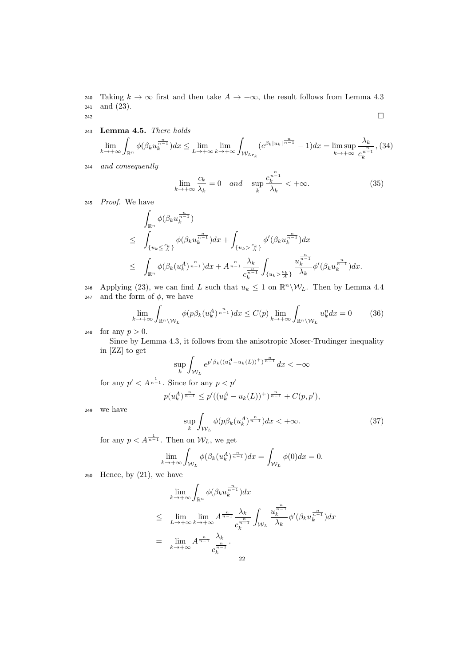240 Taking  $k \to \infty$  first and then take  $A \to +\infty$ , the result follows from Lemma 4.3 <sup>241</sup> and (23). 242

<sup>243</sup> Lemma 4.5. There holds

$$
\lim_{k \to +\infty} \int_{\mathbb{R}^n} \phi(\beta_k u_k^{\frac{n}{n-1}}) dx \le \lim_{L \to +\infty} \lim_{k \to +\infty} \int_{\mathcal{W}_{Lr_k}} (e^{\beta_k |u_k|^{\frac{n}{n-1}}} - 1) dx = \limsup_{k \to +\infty} \frac{\lambda_k}{c_k^{\frac{n}{n-1}}},
$$
(34)

<sup>244</sup> and consequently

$$
\lim_{k \to +\infty} \frac{c_k}{\lambda_k} = 0 \quad and \quad \sup_k \frac{c_k^{\frac{n}{n-1}}}{\lambda_k} < +\infty. \tag{35}
$$

<sup>245</sup> Proof. We have

$$
\int_{\mathbb{R}^n} \phi(\beta_k u_k^{\frac{n}{n-1}}) \leq \int_{\{u_k \leq \frac{c_k}{A}\}} \phi(\beta_k u_k^{\frac{n}{n-1}}) dx + \int_{\{u_k > \frac{c_k}{A}\}} \phi'(\beta_k u_k^{\frac{n}{n-1}}) dx
$$
\n
$$
\leq \int_{\mathbb{R}^n} \phi(\beta_k (u_k^A)^{\frac{n}{n-1}}) dx + A^{\frac{n}{n-1}} \frac{\lambda_k}{c_k^{\frac{n}{n-1}}} \int_{\{u_k > \frac{c_k}{A}\}} u_k^{\frac{n}{n-1}} \phi'(\beta_k u_k^{\frac{n}{n-1}}) dx.
$$

246 Applying (23), we can find L such that  $u_k \leq 1$  on  $\mathbb{R}^n \backslash \mathcal{W}_L$ . Then by Lemma 4.4 247 and the form of  $\phi$ , we have

$$
\lim_{k \to +\infty} \int_{\mathbb{R}^n \setminus \mathcal{W}_L} \phi(p\beta_k(u_k^A)^{\frac{n}{n-1}}) dx \le C(p) \lim_{k \to +\infty} \int_{\mathbb{R}^n \setminus \mathcal{W}_L} u_k^n dx = 0 \tag{36}
$$

248 for any  $p > 0$ .

Since by Lemma 4.3, it follows from the anisotropic Moser-Trudinger inequality in [ZZ] to get

$$
\sup_{k} \int_{\mathcal{W}_L} e^{p' \beta_k ((u_k^A - u_k(L))^+)^{\frac{n}{n-1}}} dx < +\infty
$$

for any  $p' < A^{\frac{1}{n-1}}$ . Since for any  $p < p'$ 

$$
p(u_k^A)^{\frac{n}{n-1}} \le p'((u_k^A - u_k(L))^+) ^{\frac{n}{n-1}} + C(p, p'),
$$

<sup>249</sup> we have

$$
\sup_{k} \int_{\mathcal{W}_L} \phi(p\beta_k(u_k^A)^{\frac{n}{n-1}}) dx < +\infty.
$$
 (37)

for any  $p < A^{\frac{1}{n-1}}$ . Then on  $\mathcal{W}_L$ , we get

$$
\lim_{k \to +\infty} \int_{\mathcal{W}_L} \phi(\beta_k(u_k^A)^{\frac{n}{n-1}}) dx = \int_{\mathcal{W}_L} \phi(0) dx = 0.
$$

 $250$  Hence, by  $(21)$ , we have

$$
\lim_{k \to +\infty} \int_{\mathbb{R}^n} \phi(\beta_k u_k^{\frac{n}{n-1}}) dx
$$
\n
$$
\leq \lim_{L \to +\infty} \lim_{k \to +\infty} A^{\frac{n}{n-1}} \frac{\lambda_k}{c_k^{\frac{n}{n-1}}} \int_{\mathcal{W}_L} \frac{u_k^{\frac{n}{n-1}}}{\lambda_k} \phi'(\beta_k u_k^{\frac{n}{n-1}}) dx
$$
\n
$$
= \lim_{k \to +\infty} A^{\frac{n}{n-1}} \frac{\lambda_k}{c_k^{\frac{n}{n-1}}}.
$$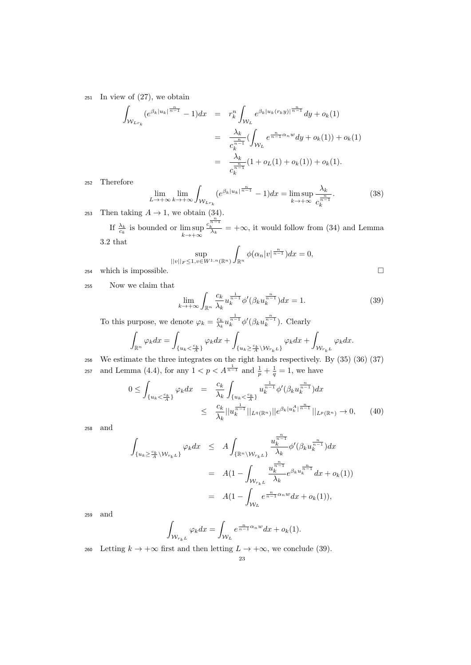$251$  In view of  $(27)$ , we obtain

$$
\int_{\mathcal{W}_{L r_k}} (e^{\beta_k |u_k|^{\frac{n}{n-1}}} - 1) dx = r_k^n \int_{\mathcal{W}_L} e^{\beta_k |u_k(r_k y)|^{\frac{n}{n-1}}} dy + o_k(1)
$$
  

$$
= \frac{\lambda_k}{c_k^{\frac{n}{n-1}}} (\int_{\mathcal{W}_L} e^{\frac{n}{n-1} \alpha_n w} dy + o_k(1)) + o_k(1)
$$
  

$$
= \frac{\lambda_k}{c_k^{\frac{n}{n-1}}} (1 + o_L(1) + o_k(1)) + o_k(1).
$$

<sup>252</sup> Therefore

$$
\lim_{L \to +\infty} \lim_{k \to +\infty} \int_{\mathcal{W}_{Lr_k}} (e^{\beta_k |u_k|^{\frac{n}{n-1}}} - 1) dx = \limsup_{k \to +\infty} \frac{\lambda_k}{c_k^{\frac{n}{n-1}}}.
$$
 (38)

253 Then taking  $A \rightarrow 1$ , we obtain (34).

If  $\frac{\lambda_k}{c_k}$  is bounded or  $\limsup_{k \to +\infty}$  $\frac{c_k^{\frac{n}{n-1}}}{\lambda_k}$  = + $\infty$ , it would follow from (34) and Lemma 3.2 that

$$
\sup_{||v||_F\le 1, v\in W^{1,n}(\mathbb{R}^n)} \int_{\mathbb{R}^n} \phi(\alpha_n |v|^{\frac{n}{n-1}}) dx = 0,
$$

254 which is impossible.  $\square$ 

<sup>255</sup> Now we claim that

$$
\lim_{k \to +\infty} \int_{\mathbb{R}^n} \frac{c_k}{\lambda_k} u_k^{\frac{1}{n-1}} \phi'(\beta_k u_k^{\frac{n}{n-1}}) dx = 1.
$$
 (39)

To this purpose, we denote  $\varphi_k = \frac{c_k}{\lambda_k} u_k^{\frac{1}{n-1}} \phi'(\beta_k u_k^{\frac{n}{n-1}})$ . Clearly

$$
\int_{\mathbb{R}^n} \varphi_k dx = \int_{\{u_k < \frac{c_k}{A}\}} \varphi_k dx + \int_{\{u_k \ge \frac{c_k}{A} \setminus \mathcal{W}_{r_k L}\}} \varphi_k dx + \int_{\mathcal{W}_{r_k L}} \varphi_k dx.
$$

<sup>256</sup> We estimate the three integrates on the right hands respectively. By (35) (36) (37) and Lemma (4.4), for any  $1 < p < A^{\frac{1}{n-1}}$  and  $\frac{1}{p} + \frac{1}{q} = 1$ , we have 257

$$
0 \leq \int_{\{u_k < \frac{c_k}{A}\}} \varphi_k dx = \frac{c_k}{\lambda_k} \int_{\{u_k < \frac{c_k}{A}\}} u_k^{\frac{1}{n-1}} \phi'(\beta_k u_k^{\frac{n}{n-1}}) dx
$$
  
 
$$
\leq \frac{c_k}{\lambda_k} ||u_k^{\frac{1}{n-1}}||_{L^q(\mathbb{R}^n)} ||e^{\beta_k |u_k^A|^{\frac{n}{n-1}}} ||_{L^p(\mathbb{R}^n)} \to 0, \qquad (40)
$$

<sup>258</sup> and

$$
\int_{\{u_k \ge \frac{c_k}{A} \setminus \mathcal{W}_{r_k L}\}} \varphi_k dx \le A \int_{\{\mathbb{R}^n \setminus \mathcal{W}_{r_k L}\}} \frac{u_k^{\frac{n}{n-1}}}{\lambda_k} \phi'(\beta_k u_k^{\frac{n}{n-1}}) dx
$$
  
\n
$$
= A(1 - \int_{\mathcal{W}_{r_k L}} \frac{u_k^{\frac{n}{n-1}}}{\lambda_k} e^{\beta_k u_k^{\frac{n}{n-1}}} dx + o_k(1))
$$
  
\n
$$
= A(1 - \int_{\mathcal{W}_L} e^{\frac{n}{n-1} \alpha_n w} dx + o_k(1)),
$$

<sup>259</sup> and

$$
\int_{\mathcal{W}_{r_kL}} \varphi_k dx = \int_{\mathcal{W}_L} e^{\frac{n}{n-1}\alpha_n w} dx + o_k(1).
$$

260 Letting  $k \to +\infty$  first and then letting  $L \to +\infty$ , we conclude (39).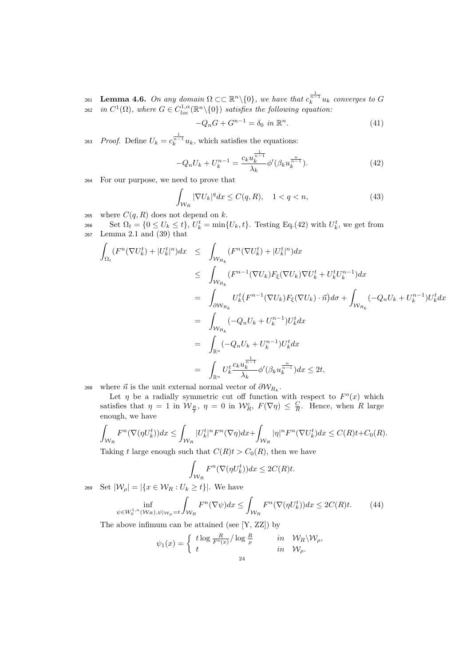261 **Lemma 4.6.** On any domain  $\Omega \subset \mathbb{R}^n \setminus \{0\}$ , we have that  $c_k^{\frac{1}{n-1}}u_k$  converges to G <sup>262</sup> in  $C^1(\Omega)$ , where  $G \in C^{1,\alpha}_{loc}(\mathbb{R}^n \setminus \{0\})$  satisfies the following equation:

$$
-Q_n G + G^{n-1} = \delta_0 \text{ in } \mathbb{R}^n. \tag{41}
$$

263 Proof. Define  $U_k = c_k^{\frac{1}{n-1}} u_k$ , which satisfies the equations:

$$
-Q_n U_k + U_k^{n-1} = \frac{c_k u_k^{\frac{1}{n-1}}}{\lambda_k} \phi'(\beta_k u_k^{\frac{n}{n-1}}). \tag{42}
$$

<sup>264</sup> For our purpose, we need to prove that

$$
\int_{\mathcal{W}_R} |\nabla U_k|^q dx \le C(q, R), \quad 1 < q < n,\tag{43}
$$

265 where  $C(q, R)$  does not depend on k.

266 Set  $\Omega_t = \{0 \le U_k \le t\}, U^t_k = \min\{U_k, t\}.$  Testing Eq.(42) with  $U^t_k$ , we get from <sup>267</sup> Lemma 2.1 and (39) that

$$
\int_{\Omega_t} (F^n(\nabla U_k^t) + |U_k^t|^n) dx \leq \int_{\mathcal{W}_{R_k}} (F^n(\nabla U_k^t) + |U_k^t|^n) dx
$$
\n
$$
\leq \int_{\mathcal{W}_{R_k}} (F^{n-1}(\nabla U_k) F_{\xi}(\nabla U_k) \nabla U_k^t + U_k^t U_k^{n-1}) dx
$$
\n
$$
= \int_{\partial \mathcal{W}_{R_k}} U_k^t (F^{n-1}(\nabla U_k) F_{\xi}(\nabla U_k) \cdot \vec{n}) d\sigma + \int_{\mathcal{W}_{R_k}} (-Q_n U_k + U_k^{n-1}) U_k^t dx
$$
\n
$$
= \int_{\mathbb{R}^n} (-Q_n U_k + U_k^{n-1}) U_k^t dx
$$
\n
$$
= \int_{\mathbb{R}^n} (-Q_n U_k + U_k^{n-1}) U_k^t dx
$$
\n
$$
= \int_{\mathbb{R}^n} U_k^t \frac{c_k u_k^{\frac{n}{n-1}}}{\lambda_k} \phi'(\beta_k u_k^{\frac{n}{n-1}}) dx \leq 2t,
$$

268 where  $\vec{n}$  is the unit external normal vector of  $\partial \mathcal{W}_{R_k}$ .

Let  $\eta$  be a radially symmetric cut off function with respect to  $F^o(x)$  which satisfies that  $\eta = 1$  in  $\mathcal{W}_{\frac{R}{2}}$ ,  $\eta = 0$  in  $\mathcal{W}_{R}^{c}$ ,  $F(\nabla \eta) \leq \frac{C}{R}$ . Hence, when R large enough, we have

$$
\int_{\mathcal{W}_R} F^n(\nabla(\eta U_k^t)) dx \le \int_{\mathcal{W}_R} |U_k^t|^n F^n(\nabla \eta) dx + \int_{\mathcal{W}_R} |\eta|^n F^n(\nabla U_k^t) dx \le C(R)t + C_0(R).
$$
  
Taking t large enough such that  $C(R)t > C_0(R)$ , then we have

Taking t large enough such that  $C(R)t > C_0(R)$ , then we have

$$
\int_{\mathcal{W}_R} F^n(\nabla(\eta U_k^t))dx \le 2C(R)t.
$$

269 Set  $|\mathcal{W}_{\rho}| = |\{x \in \mathcal{W}_R : U_k \geq t\}|$ . We have

$$
\inf_{\psi \in W_0^{1,n}(W_R), \psi|_{W_\rho} = t} \int_{W_R} F^n(\nabla \psi) dx \le \int_{W_R} F^n(\nabla (\eta U_k^t)) dx \le 2C(R)t. \tag{44}
$$

The above infimum can be attained (see [Y, ZZ]) by

$$
\psi_1(x) = \begin{cases} t \log \frac{R}{F^o(x)}/\log \frac{R}{\rho} & \text{in } \mathcal{W}_R \backslash \mathcal{W}_\rho, \\ t & \text{in } \mathcal{W}_\rho. \end{cases}
$$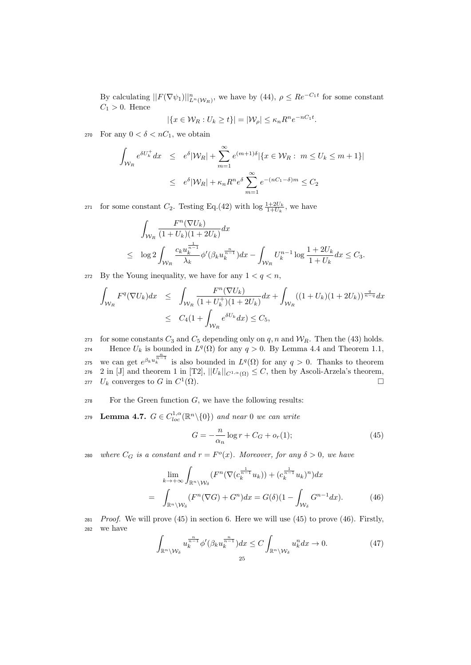By calculating  $||F(\nabla \psi_1)||_{L^n(\mathcal{W}_R)}^n$ , we have by (44),  $\rho \leq Re^{-C_1t}$  for some constant  $C_1 > 0$ . Hence

$$
|\{x \in \mathcal{W}_R : U_k \ge t\}| = |\mathcal{W}_\rho| \le \kappa_n R^n e^{-nC_1 t}.
$$

270 For any  $0 < \delta < nC_1$ , we obtain

$$
\int_{\mathcal{W}_R} e^{\delta U_k^+} dx \leq e^{\delta} |\mathcal{W}_R| + \sum_{m=1}^{\infty} e^{(m+1)\delta} |\{x \in \mathcal{W}_R : m \leq U_k \leq m+1\}|
$$
  

$$
\leq e^{\delta} |\mathcal{W}_R| + \kappa_n R^n e^{\delta} \sum_{m=1}^{\infty} e^{-(nC_1 - \delta)m} \leq C_2
$$

271 for some constant  $C_2$ . Testing Eq.(42) with  $\log \frac{1+2U_k}{1+U_k}$ , we have

$$
\int_{\mathcal{W}_R} \frac{F^n(\nabla U_k)}{(1+U_k)(1+2U_k)} dx
$$
\n
$$
\leq \log 2 \int_{\mathcal{W}_R} \frac{c_k u_k^{\frac{1}{n-1}}}{\lambda_k} \phi'(\beta_k u_k^{\frac{n}{n-1}}) dx - \int_{\mathcal{W}_R} U_k^{n-1} \log \frac{1+2U_k}{1+U_k} dx \leq C_3.
$$

272 By the Young inequality, we have for any  $1 < q < n$ ,

$$
\int_{\mathcal{W}_R} F^q(\nabla U_k) dx \leq \int_{\mathcal{W}_R} \frac{F^n(\nabla U_k)}{(1+U_k^+)(1+2U_k)} dx + \int_{\mathcal{W}_R} ((1+U_k)(1+2U_k))^{\frac{q}{n-q}} dx
$$
  

$$
\leq C_4 (1 + \int_{\mathcal{W}_R} e^{\delta U_k} dx) \leq C_5,
$$

273 for some constants  $C_3$  and  $C_5$  depending only on  $q, n$  and  $W_R$ . Then the (43) holds. 274 Hence  $U_k$  is bounded in  $L^q(\Omega)$  for any  $q > 0$ . By Lemma 4.4 and Theorem 1.1,

275 we can get  $e^{\beta_k u_k^{\frac{n}{n-1}}}$  is also bounded in  $L^q(\Omega)$  for any  $q > 0$ . Thanks to theorem 276 2 in [J] and theorem 1 in [T2],  $||U_k||_{C^{1,\alpha}(\Omega)} \leq C$ , then by Ascoli-Arzela's theorem, 277  $U_k$  converges to G in  $C^1(\Omega)$ .

- $278$  For the Green function  $G$ , we have the following results:
- 279 Lemma 4.7.  $G \in C^{1,\alpha}_{loc}(\mathbb{R}^n \setminus \{0\})$  and near 0 we can write

$$
G = -\frac{n}{\alpha_n} \log r + C_G + o_r(1); \tag{45}
$$

280 where  $C_G$  is a constant and  $r = F^o(x)$ . Moreover, for any  $\delta > 0$ , we have

$$
\lim_{k \to +\infty} \int_{\mathbb{R}^n \setminus \mathcal{W}_\delta} (F^n(\nabla (c_k^{\frac{1}{n-1}} u_k)) + (c_k^{\frac{1}{n-1}} u_k)^n) dx
$$
\n
$$
= \int_{\mathbb{R}^n \setminus \mathcal{W}_\delta} (F^n(\nabla G) + G^n) dx = G(\delta)(1 - \int_{\mathcal{W}_\delta} G^{n-1} dx). \tag{46}
$$

 $281$  Proof. We will prove (45) in section 6. Here we will use (45) to prove (46). Firstly, <sup>282</sup> we have

$$
\int_{\mathbb{R}^n \backslash \mathcal{W}_\delta} u_k^{\frac{n}{n-1}} \phi'(\beta_k u_k^{\frac{n}{n-1}}) dx \le C \int_{\mathbb{R}^n \backslash \mathcal{W}_\delta} u_k^n dx \to 0.
$$
 (47)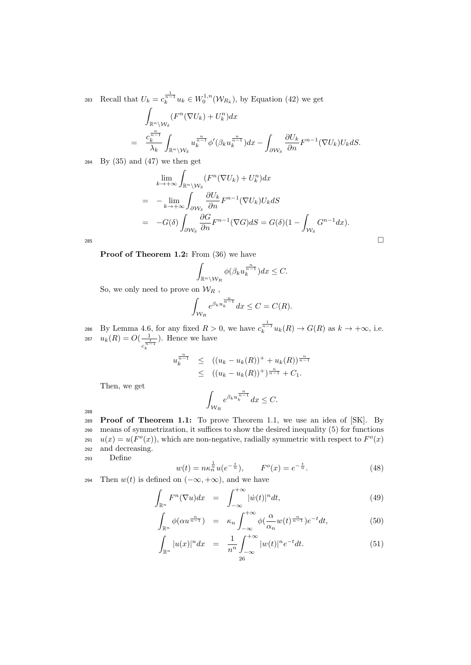283 Recall that  $U_k = c_k^{\frac{1}{n-1}} u_k \in W_0^{1,n}(\mathcal{W}_{R_k})$ , by Equation (42) we get

$$
\int_{\mathbb{R}^n \backslash \mathcal{W}_{\delta}} (F^n(\nabla U_k) + U_k^n) dx
$$
\n
$$
= \frac{c_k^{\frac{n}{n-1}}}{\lambda_k} \int_{\mathbb{R}^n \backslash \mathcal{W}_{\delta}} u_k^{\frac{n}{n-1}} \phi'(\beta_k u_k^{\frac{n}{n-1}}) dx - \int_{\partial \mathcal{W}_{\delta}} \frac{\partial U_k}{\partial n} F^{n-1}(\nabla U_k) U_k dS.
$$

 $284$  By  $(35)$  and  $(47)$  we then get

$$
\lim_{k \to +\infty} \int_{\mathbb{R}^n \setminus \mathcal{W}_\delta} (F^n(\nabla U_k) + U_k^n) dx
$$
\n
$$
= -\lim_{k \to +\infty} \int_{\partial \mathcal{W}_\delta} \frac{\partial U_k}{\partial n} F^{n-1}(\nabla U_k) U_k dS
$$
\n
$$
= -G(\delta) \int_{\partial \mathcal{W}_\delta} \frac{\partial G}{\partial n} F^{n-1}(\nabla G) dS = G(\delta) (1 - \int_{\mathcal{W}_\delta} G^{n-1} dx).
$$

Proof of Theorem 1.2: From  $(36)$  we have

$$
\int_{\mathbb{R}^n \setminus \mathcal{W}_R} \phi(\beta_k u_k^{\frac{n}{n-1}}) dx \leq C.
$$

So, we only need to prove on  $\mathcal{W}_R$ ,

$$
\int_{\mathcal{W}_R} e^{\beta_k u_k^{\frac{n}{n-1}}} dx \le C = C(R).
$$

286 By Lemma 4.6, for any fixed  $R > 0$ , we have  $c_k^{\frac{1}{n-1}}u_k(R) \to G(R)$  as  $k \to +\infty$ , i.e.  $u_k(R) = O(\frac{-1}{\sqrt{2}})$  $\frac{1}{c_k^{\frac{1}{n-1}}}$ 287  $u_k(R) = O(\frac{1}{-1})$ . Hence we have

$$
u_k^{\frac{n}{n-1}} \le ((u_k - u_k(R))^+ + u_k(R))^{\frac{n}{n-1}} \le ((u_k - u_k(R))^+)^{\frac{n}{n-1}} + C_1.
$$

Then, we get

$$
\int_{\mathcal{W}_R} e^{\beta_k u_k^{\frac{n}{n-1}}} dx \leq C.
$$

288

 Proof of Theorem 1.1: To prove Theorem 1.1, we use an idea of [SK]. By means of symmetrization, it suffices to show the desired inequality (5) for functions  $u(x) = u(F<sup>o</sup>(x))$ , which are non-negative, radially symmetric with respect to  $F<sup>o</sup>(x)$ and decreasing.

<sup>293</sup> Define

$$
w(t) = n\kappa_n^{\frac{1}{n}} u(e^{-\frac{t}{n}}), \qquad F^o(x) = e^{-\frac{t}{n}}.
$$
 (48)

294 Then  $w(t)$  is defined on  $(-\infty, +\infty)$ , and we have

$$
\int_{\mathbb{R}^n} F^n(\nabla u) dx = \int_{-\infty}^{+\infty} |\dot{w}(t)|^n dt, \tag{49}
$$

$$
\int_{\mathbb{R}^n} \phi(\alpha u^{\frac{n}{n-1}}) = \kappa_n \int_{-\infty}^{+\infty} \phi(\frac{\alpha}{\alpha_n} w(t)^{\frac{n}{n-1}}) e^{-t} dt,
$$
\n(50)

$$
\int_{\mathbb{R}^n} |u(x)|^n dx = \frac{1}{n^n} \int_{-\infty}^{+\infty} |w(t)|^n e^{-t} dt.
$$
\n(51)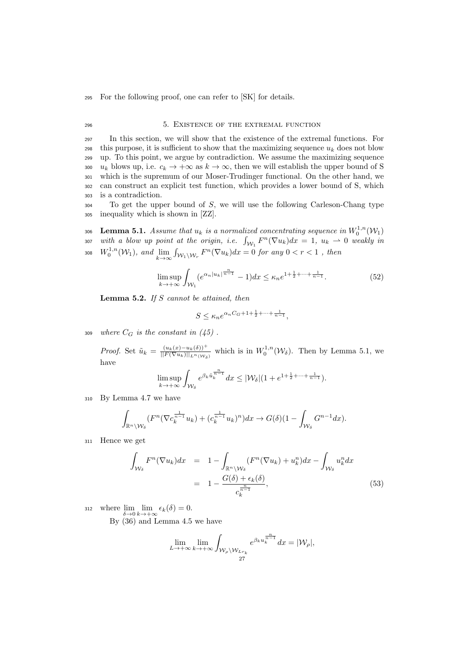<sup>295</sup> For the following proof, one can refer to [SK] for details.

### 296 5. EXISTENCE OF THE EXTREMAL FUNCTION

 In this section, we will show that the existence of the extremal functions. For 298 this purpose, it is sufficient to show that the maximizing sequence  $u_k$  does not blow up. To this point, we argue by contradiction. We assume the maximizing sequence 300 u<sub>k</sub> blows up, i.e.  $c_k \to +\infty$  as  $k \to \infty$ , then we will establish the upper bound of S which is the supremum of our Moser-Trudinger functional. On the other hand, we can construct an explicit test function, which provides a lower bound of S, which is a contradiction.

<sup>304</sup> To get the upper bound of S, we will use the following Carleson-Chang type <sup>305</sup> inequality which is shown in [ZZ].

 $_{306}$  Lemma 5.1. Assume that  $u_k$  is a normalized concentrating sequence in  $W_0^{1,n}({\cal W}_1)$ 307 with a blow up point at the origin, i.e.  $\int_{W_1} F^n(\nabla u_k) dx = 1, u_k \to 0$  weakly in 308  $W_0^{1,n}(W_1)$ , and  $\lim_{k\to\infty} \int_{\mathcal{W}_1\backslash \mathcal{W}_r} F^n(\nabla u_k)dx = 0$  for any  $0 < r < 1$ , then

$$
\limsup_{k \to +\infty} \int_{\mathcal{W}_1} (e^{\alpha_n |u_k|^{\frac{n}{n-1}}} - 1) dx \le \kappa_n e^{1 + \frac{1}{2} + \dots + \frac{1}{n-1}}.
$$
\n(52)

**Lemma 5.2.** If S cannot be attained, then

$$
S \le \kappa_n e^{\alpha_n C_G + 1 + \frac{1}{2} + \dots + \frac{1}{n-1}},
$$

309 where  $C_G$  is the constant in  $(45)$ .

*Proof.* Set  $\tilde{u}_k = \frac{(u_k(x)-u_k(\delta))^+}{\left|\left|F(\nabla u_k)\right|\right| \left|\left|F(\delta)\right|\right|}$  $\frac{(u_k(x)-u_k(\delta))^+}{||F(\nabla u_k)||_{L^n(\mathcal{W}_\delta)}}$  which is in  $W_0^{1,n}(\mathcal{W}_\delta)$ . Then by Lemma 5.1, we have

$$
\limsup_{k\rightarrow +\infty}\int_{{\mathcal W}_\delta}e^{\beta_k \tilde u_k^{\frac{n}{n-1}}}dx\le |{\mathcal W}_\delta|(1+e^{1+\frac12+\cdots+\frac{1}{n-1}}).
$$

<sup>310</sup> By Lemma 4.7 we have

$$
\int_{\mathbb{R}^n \setminus \mathcal{W}_\delta} (F^n(\nabla c_k^{\frac{1}{n-1}} u_k) + (c_k^{\frac{1}{n-1}} u_k)^n) dx \to G(\delta)(1 - \int_{\mathcal{W}_\delta} G^{n-1} dx).
$$

<sup>311</sup> Hence we get

$$
\int_{\mathcal{W}_{\delta}} F^{n}(\nabla u_{k}) dx = 1 - \int_{\mathbb{R}^{n} \setminus \mathcal{W}_{\delta}} (F^{n}(\nabla u_{k}) + u_{k}^{n}) dx - \int_{\mathcal{W}_{\delta}} u_{k}^{n} dx
$$
\n
$$
= 1 - \frac{G(\delta) + \epsilon_{k}(\delta)}{c_{k}^{\frac{n}{n-1}}},
$$
\n(53)

312 where  $\lim_{\delta \to 0} \lim_{k \to +\infty} \epsilon_k(\delta) = 0.$ 

By (36) and Lemma 4.5 we have

$$
\lim_{L\to +\infty}\lim_{k\to +\infty}\int_{\mathcal{W}_\rho\backslash \mathcal{W}_{Lr_k}}e^{\beta_ku_k^{\frac{n}{n-1}}}dx=|\mathcal{W}_\rho|,
$$
27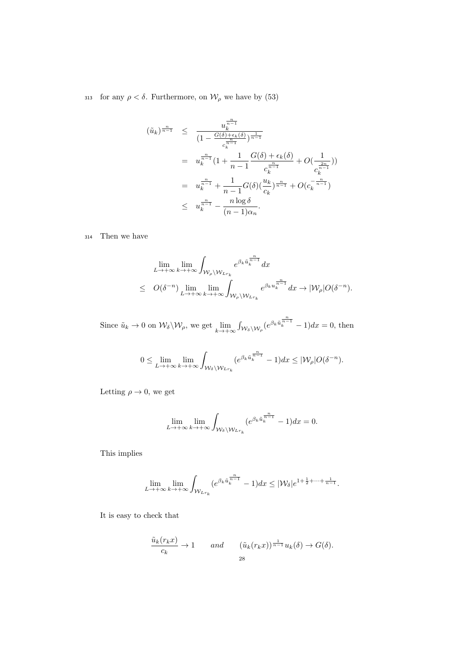313 for any  $\rho < \delta.$  Furthermore, on  $\mathcal{W}_\rho$  we have by (53)

$$
(\tilde{u}_k)^{\frac{n}{n-1}} \leq \frac{u_k^{\frac{n}{n-1}}}{(1 - \frac{G(\delta) + \epsilon_k(\delta)}{c_k^{\frac{n}{n-1}}})^{\frac{1}{n-1}}}
$$
  

$$
= u_k^{\frac{n}{n-1}} (1 + \frac{1}{n-1} \frac{G(\delta) + \epsilon_k(\delta)}{c_k^{\frac{n}{n-1}}} + O(\frac{1}{c_k^{\frac{2n}{n-1}}}))
$$
  

$$
= u_k^{\frac{n}{n-1}} + \frac{1}{n-1} G(\delta) (\frac{u_k}{c_k})^{\frac{n}{n-1}} + O(c_k^{-\frac{n}{n-1}})
$$
  

$$
\leq u_k^{\frac{n}{n-1}} - \frac{n \log \delta}{(n-1)\alpha_n}.
$$

<sup>314</sup> Then we have

$$
\lim_{L \to +\infty} \lim_{k \to +\infty} \int_{\mathcal{W}_{\rho} \backslash \mathcal{W}_{L r_k}} e^{\beta_k \tilde{u}_k^{\frac{n}{n-1}}} dx
$$
\n
$$
\leq O(\delta^{-n}) \lim_{L \to +\infty} \lim_{k \to +\infty} \int_{\mathcal{W}_{\rho} \backslash \mathcal{W}_{L r_k}} e^{\beta_k u_k^{\frac{n}{n-1}}} dx \to |\mathcal{W}_{\rho}| O(\delta^{-n}).
$$

Since  $\tilde{u}_k \to 0$  on  $\mathcal{W}_\delta \backslash \mathcal{W}_\rho$ , we get  $\lim_{k \to +\infty} \int_{\mathcal{W}_\delta \backslash \mathcal{W}_\rho} (e^{\beta_k \tilde{u}_k^{\frac{n}{n-1}}} - 1) dx = 0$ , then

$$
0 \leq \lim_{L \to +\infty} \lim_{k \to +\infty} \int_{\mathcal{W}_{\delta} \setminus \mathcal{W}_{Lr_k}} (e^{\beta_k \tilde{u}_k^{\frac{n}{n-1}}} - 1) dx \leq |\mathcal{W}_{\rho}| O(\delta^{-n}).
$$

Letting  $\rho \to 0$ , we get

$$
\lim_{L\to+\infty}\lim_{k\to+\infty}\int_{\mathcal{W}_{\delta}\backslash \mathcal{W}_{Lr_k}}(e^{\beta_k\tilde{u}_k^{\frac{n}{n-1}}}-1)dx=0.
$$

This implies

$$
\lim_{L\to +\infty}\lim_{k\to +\infty}\int_{\mathcal{W}_{Lr_k}}(e^{\beta_k\tilde u_k^{\frac{n}{n-1}}}-1)dx\leq |\mathcal{W}_{\delta}|e^{1+\frac{1}{2}+\cdots+\frac{1}{n-1}}.
$$

It is easy to check that

$$
\frac{\tilde{u}_k(r_k x)}{c_k} \to 1 \quad \text{and} \quad (\tilde{u}_k(r_k x))^{\frac{1}{n-1}} u_k(\delta) \to G(\delta).
$$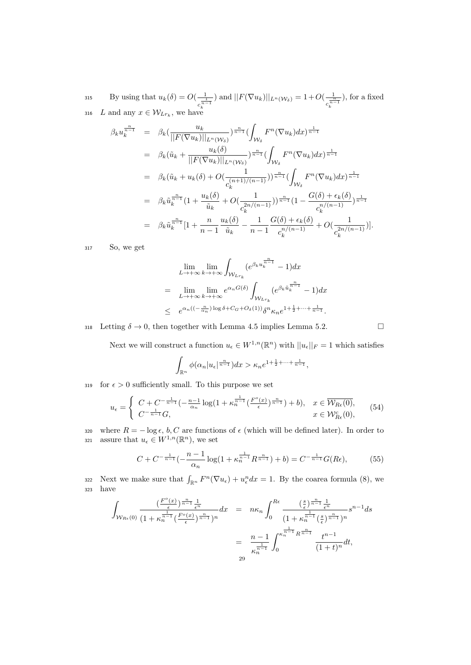By using that  $u_k(\delta) = O(\frac{1}{\log 2})$  $c_k^{\frac{1}{n-1}}$ ) and  $||F(\nabla u_k)||_{L^n(\mathcal{W}_\delta)} = 1 + O(\frac{1}{n^2})$  $c_k^{\frac{n}{n-1}}$ 315 By using that  $u_k(\delta) = O(\frac{1}{\epsilon})$  and  $||F(\nabla u_k)||_{L^n(\mathcal{W}_\delta)} = 1 + O(\frac{1}{\epsilon})$ , for a fixed 316 L and any  $x \in \mathcal{W}_{Lr_k}$ , we have

$$
\beta_{k}u_{k}^{\frac{n}{n-1}} = \beta_{k}(\frac{u_{k}}{||F(\nabla u_{k})||_{L^{n}(W_{\delta})}})^{\frac{n}{n-1}}(\int_{W_{\delta}} F^{n}(\nabla u_{k})dx)^{\frac{1}{n-1}} \n= \beta_{k}(\tilde{u}_{k} + \frac{u_{k}(\delta)}{||F(\nabla u_{k})||_{L^{n}(W_{\delta})}})^{\frac{n}{n-1}}(\int_{W_{\delta}} F^{n}(\nabla u_{k})dx)^{\frac{1}{n-1}} \n= \beta_{k}(\tilde{u}_{k} + u_{k}(\delta) + O(\frac{1}{c_{k}^{(n+1)/(n-1)}}))^{\frac{n}{n-1}}(\int_{W_{\delta}} F^{n}(\nabla u_{k})dx)^{\frac{1}{n-1}} \n= \beta_{k}\tilde{u}_{k}^{\frac{n}{n-1}}(1 + \frac{u_{k}(\delta)}{\tilde{u}_{k}} + O(\frac{1}{c_{k}^{2n/(n-1)}}))^{\frac{n}{n-1}}(1 - \frac{G(\delta) + \epsilon_{k}(\delta)}{c_{k}^{n/(n-1)}})^{\frac{1}{n-1}} \n= \beta_{k}\tilde{u}_{k}^{\frac{n}{n-1}}[1 + \frac{n}{n-1}\frac{u_{k}(\delta)}{\tilde{u}_{k}} - \frac{1}{n-1}\frac{G(\delta) + \epsilon_{k}(\delta)}{c_{k}^{n/(n-1)}} + O(\frac{1}{c_{k}^{2n/(n-1)}})].
$$

<sup>317</sup> So, we get

$$
\lim_{L \to +\infty} \lim_{k \to +\infty} \int_{\mathcal{W}_{Lr_k}} (e^{\beta_k u_k^{\frac{n}{n-1}}} - 1) dx
$$
\n
$$
= \lim_{L \to +\infty} \lim_{k \to +\infty} e^{\alpha_n G(\delta)} \int_{\mathcal{W}_{Lr_k}} (e^{\beta_k \tilde{u}_k^{\frac{n}{n-1}}} - 1) dx
$$
\n
$$
\leq e^{\alpha_n ((-\frac{n}{\alpha_n}) \log \delta + C_G + O_\delta(1))} \delta^n \kappa_n e^{1 + \frac{1}{2} + \dots + \frac{1}{n-1}}.
$$

318 Letting  $\delta \to 0$ , then together with Lemma 4.5 implies Lemma 5.2.

Next we will construct a function  $u_{\epsilon} \in W^{1,n}(\mathbb{R}^n)$  with  $||u_{\epsilon}||_F = 1$  which satisfies

$$
\int_{\mathbb{R}^n} \phi(\alpha_n | u_\epsilon |^{\frac{n}{n-1}}) dx > \kappa_n e^{1 + \frac{1}{2} + \dots + \frac{1}{n-1}},
$$

319 for  $\epsilon > 0$  sufficiently small. To this purpose we set

$$
u_{\epsilon} = \begin{cases} C + C^{-\frac{1}{n-1}} \left( -\frac{n-1}{\alpha_n} \log(1 + \kappa_n^{\frac{1}{n-1}} (\frac{F^o(x)}{\epsilon})^{\frac{n}{n-1}}) + b \right), & x \in \overline{\mathcal{W}_{R\epsilon}(0)}, \\ C^{-\frac{1}{n-1}} G, & x \in \mathcal{W}_{R\epsilon}^c(0), \end{cases}
$$
(54)

320 where  $R = -\log \epsilon$ , b, C are functions of  $\epsilon$  (which will be defined later). In order to 321 assure that  $u_{\epsilon} \in W^{1,n}(\mathbb{R}^n)$ , we set

$$
C + C^{-\frac{1}{n-1}}\left(-\frac{n-1}{\alpha_n}\log(1 + \kappa_n^{\frac{1}{n-1}}R^{\frac{n}{n-1}}) + b\right) = C^{-\frac{1}{n-1}}G(R\epsilon),\tag{55}
$$

322 Next we make sure that  $\int_{\mathbb{R}^n} F^n(\nabla u_{\epsilon}) + u_{\epsilon}^n dx = 1$ . By the coarea formula (8), we <sup>323</sup> have

$$
\int_{W_{Re}(0)} \frac{\left(\frac{F^o(x)}{\epsilon}\right)^{\frac{n}{n-1}} \frac{1}{\epsilon^n}}{\left(1 + \kappa_n^{\frac{1}{n-1}} \left(\frac{F^o(x)}{\epsilon}\right)^{\frac{n}{n-1}}\right)^n} dx = n\kappa_n \int_0^{Re} \frac{\left(\frac{s}{\epsilon}\right)^{\frac{n}{n-1}} \frac{1}{\epsilon^n}}{\left(1 + \kappa_n^{\frac{1}{n-1}} \left(\frac{s}{\epsilon}\right)^{\frac{n}{n-1}}\right)^n} s^{n-1} ds
$$

$$
= \frac{n-1}{\kappa_n^{\frac{1}{n-1}}} \int_0^{\kappa_n^{\frac{1}{n-1}} R^{\frac{n}{n-1}}} \frac{t^{n-1}}{\left(1 + t\right)^n} dt,
$$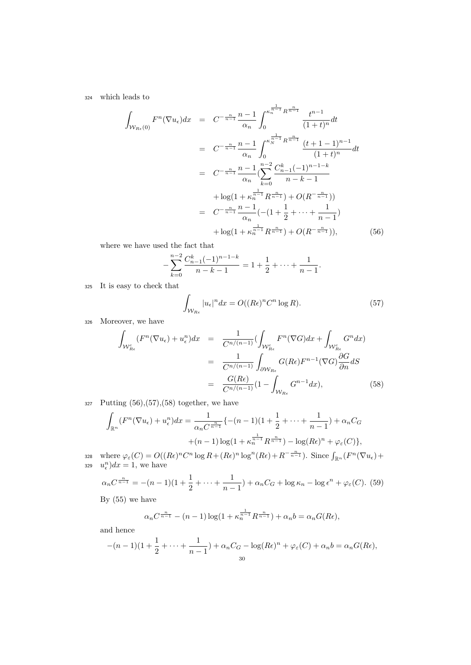<sup>324</sup> which leads to

$$
\int_{\mathcal{W}_{Re}(0)} F^{n}(\nabla u_{\epsilon}) dx = C^{-\frac{n}{n-1}} \frac{n-1}{\alpha_{n}} \int_{0}^{\kappa_{n}^{\frac{1}{n-1}} R^{\frac{n}{n-1}}} \frac{t^{n-1}}{(1+t)^{n}} dt
$$
\n
$$
= C^{-\frac{n}{n-1}} \frac{n-1}{\alpha_{n}} \int_{0}^{\kappa_{N}^{\frac{1}{n-1}} R^{\frac{n}{n-1}}} \frac{(t+1-1)^{n-1}}{(1+t)^{n}} dt
$$
\n
$$
= C^{-\frac{n}{n-1}} \frac{n-1}{\alpha_{n}} \left( \sum_{k=0}^{n-2} \frac{C_{n-1}^{k}(-1)^{n-1-k}}{n-k-1} + \log(1 + \kappa_{n}^{\frac{1}{n-1}} R^{\frac{n}{n-1}}) + O(R^{-\frac{n}{n-1}}) \right)
$$
\n
$$
= C^{-\frac{n}{n-1}} \frac{n-1}{\alpha_{n}} \left( -(1 + \frac{1}{2} + \dots + \frac{1}{n-1}) + \log(1 + \kappa_{n}^{\frac{1}{n-1}} R^{\frac{n}{n-1}}) + O(R^{-\frac{n}{n-1}}) \right), \tag{56}
$$

where we have used the fact that

$$
-\sum_{k=0}^{n-2} \frac{C_{n-1}^k (-1)^{n-1-k}}{n-k-1} = 1 + \frac{1}{2} + \dots + \frac{1}{n-1}.
$$

<sup>325</sup> It is easy to check that

$$
\int_{\mathcal{W}_{Re}} |u_{\epsilon}|^{n} dx = O((Re)^{n} C^{n} \log R). \tag{57}
$$

<sup>326</sup> Moreover, we have

$$
\int_{\mathcal{W}_{Re}^{c}} (F^{n}(\nabla u_{\epsilon}) + u_{\epsilon}^{n}) dx = \frac{1}{C^{n/(n-1)}} (\int_{\mathcal{W}_{Re}^{c}} F^{n}(\nabla G) dx + \int_{\mathcal{W}_{Re}^{c}} G^{n} dx)
$$
\n
$$
= \frac{1}{C^{n/(n-1)}} \int_{\partial \mathcal{W}_{Re}} G(Re) F^{n-1}(\nabla G) \frac{\partial G}{\partial n} dS
$$
\n
$$
= \frac{G(Re)}{C^{n/(n-1)}} (1 - \int_{\mathcal{W}_{Re}} G^{n-1} dx), \tag{58}
$$

 $327$  Putting  $(56),(57),(58)$  together, we have

$$
\int_{\mathbb{R}^n} (F^n(\nabla u_{\epsilon}) + u_{\epsilon}^n) dx = \frac{1}{\alpha_n C^{\frac{n}{n-1}}} \{ -(n-1)(1 + \frac{1}{2} + \dots + \frac{1}{n-1}) + \alpha_n C_G
$$
  
 
$$
+ (n-1) \log(1 + \kappa_n^{\frac{1}{n-1}} R^{\frac{n}{n-1}}) - \log(R\epsilon)^n + \varphi_{\epsilon}(C) \},
$$

328 where  $\varphi_{\varepsilon}(C) = O((R\epsilon)^n C^n \log R + (R\epsilon)^n \log^n(R\epsilon) + R^{-\frac{n}{n-1}})$ . Since  $\int_{\mathbb{R}^n} (F^n(\nabla u_{\epsilon}) +$ 329  $u_{\epsilon}^{n}$ ) $dx = 1$ , we have

$$
\alpha_n C^{\frac{n}{n-1}} = -(n-1)(1 + \frac{1}{2} + \dots + \frac{1}{n-1}) + \alpha_n C_G + \log \kappa_n - \log \epsilon^n + \varphi_{\varepsilon}(C). \tag{59}
$$

By (55) we have

$$
\alpha_n C^{\frac{n}{n-1}} - (n-1) \log(1 + \kappa_n^{\frac{1}{n-1}} R^{\frac{n}{n-1}}) + \alpha_n b = \alpha_n G(R\epsilon),
$$

and hence

$$
-(n-1)(1+\frac{1}{2}+\cdots+\frac{1}{n-1})+\alpha_nC_G-\log(R\epsilon)^n+\varphi_{\varepsilon}(C)+\alpha_nb=\alpha_nG(R\epsilon),
$$
  
30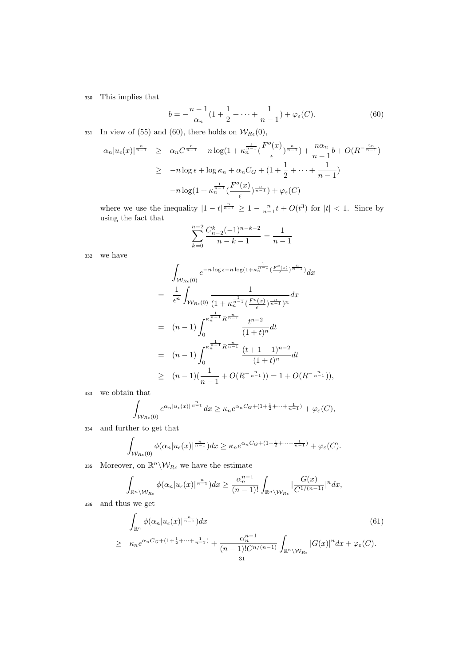# <sup>330</sup> This implies that

$$
b = -\frac{n-1}{\alpha_n} (1 + \frac{1}{2} + \dots + \frac{1}{n-1}) + \varphi_{\varepsilon}(C). \tag{60}
$$

331 In view of (55) and (60), there holds on  $\mathcal{W}_{R\epsilon}(0)$ ,

$$
\alpha_n |u_{\epsilon}(x)|^{\frac{n}{n-1}} \geq \alpha_n C^{\frac{n}{n-1}} - n \log(1 + \kappa_n^{\frac{1}{n-1}} (\frac{F^o(x)}{\epsilon})^{\frac{n}{n-1}}) + \frac{n\alpha_n}{n-1} b + O(R^{-\frac{2n}{n-1}})
$$
  

$$
\geq -n \log \epsilon + \log \kappa_n + \alpha_n C_G + (1 + \frac{1}{2} + \dots + \frac{1}{n-1})
$$
  

$$
-n \log(1 + \kappa_n^{\frac{1}{n-1}} (\frac{F^o(x)}{\epsilon})^{\frac{n}{n-1}}) + \varphi_{\epsilon}(C)
$$

where we use the inequality  $|1-t|^{\frac{n}{n-1}} \geq 1 - \frac{n}{n-1}t + O(t^3)$  for  $|t| < 1$ . Since by using the fact that

$$
\sum_{k=0}^{n-2} \frac{C_{n-2}^k (-1)^{n-k-2}}{n-k-1} = \frac{1}{n-1}
$$

<sup>332</sup> we have

$$
\int_{W_{Re}(0)} e^{-n \log \epsilon - n \log(1 + \kappa_n^{\frac{1}{n-1}} (\frac{F^o(x)}{\epsilon})^{\frac{n}{n-1}})} dx
$$
\n
$$
= \frac{1}{\epsilon^n} \int_{W_{Re}(0)} \frac{1}{(1 + \kappa_n^{\frac{1}{n-1}} (\frac{F^o(x)}{\epsilon})^{\frac{n}{n-1}})^n} dx
$$
\n
$$
= (n-1) \int_0^{\kappa_n^{\frac{1}{n-1}} R^{\frac{n}{n-1}}}{(1+t)^n} dt
$$
\n
$$
= (n-1) \int_0^{\kappa_n^{\frac{1}{n-1}} R^{\frac{n}{n-1}}}{(1+t)^n} dt
$$
\n
$$
\geq (n-1) (\frac{1}{n-1} + O(R^{-\frac{n}{n-1}})) = 1 + O(R^{-\frac{n}{n-1}}),
$$

<sup>333</sup> we obtain that

$$
\int_{\mathcal{W}_{Re}(0)} e^{\alpha_n|u_{\epsilon}(x)|^{\frac{n}{n-1}}} dx \ge \kappa_n e^{\alpha_n C_G + (1 + \frac{1}{2} + \dots + \frac{1}{n-1})} + \varphi_{\varepsilon}(C),
$$

<sup>334</sup> and further to get that

$$
\int_{\mathcal{W}_{Re}(0)} \phi(\alpha_n | u_{\epsilon}(x)|^{\frac{n}{n-1}}) dx \geq \kappa_n e^{\alpha_n C_G + (1 + \frac{1}{2} + \dots + \frac{1}{n-1})} + \varphi_{\varepsilon}(C).
$$

335 Moreover, on  $\mathbb{R}^n \backslash \mathcal{W}_{R\epsilon}$  we have the estimate

$$
\int_{\mathbb{R}^n\setminus\mathcal{W}_{Re}} \phi(\alpha_n|u_\epsilon(x)|^{\frac{n}{n-1}})dx \geq \frac{\alpha_n^{n-1}}{(n-1)!} \int_{\mathbb{R}^n\setminus\mathcal{W}_{Re}} |\frac{G(x)}{C^{1/(n-1)}}|^n dx,
$$

<sup>336</sup> and thus we get

$$
\int_{\mathbb{R}^n} \phi(\alpha_n | u_{\epsilon}(x)|^{\frac{n}{n-1}}) dx
$$
\n
$$
\geq \kappa_n e^{\alpha_n C_G + (1 + \frac{1}{2} + \dots + \frac{1}{n-1})} + \frac{\alpha_n^{n-1}}{(n-1)! C^{n/(n-1)}} \int_{\mathbb{R}^n \backslash \mathcal{W}_{Re}} |G(x)|^n dx + \varphi_{\varepsilon}(C).
$$
\n(61)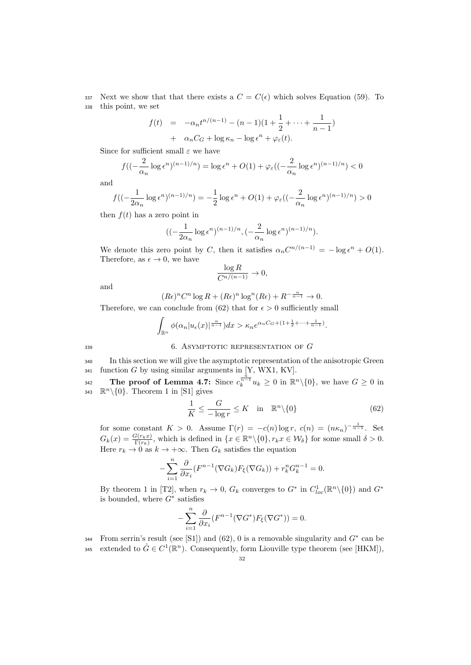337 Next we show that that there exists a  $C = C(\epsilon)$  which solves Equation (59). To <sup>338</sup> this point, we set

$$
f(t) = -\alpha_n t^{n/(n-1)} - (n-1)(1 + \frac{1}{2} + \dots + \frac{1}{n-1})
$$
  
+ 
$$
\alpha_n C_G + \log \kappa_n - \log \epsilon^n + \varphi_{\varepsilon}(t).
$$

Since for sufficient small  $\varepsilon$  we have

$$
f\left((-\frac{2}{\alpha_n}\log \epsilon^n)^{(n-1)/n}\right) = \log \epsilon^n + O(1) + \varphi_\varepsilon\left((-\frac{2}{\alpha_n}\log \epsilon^n)^{(n-1)/n}\right) < 0
$$

and

$$
f\left((-\frac{1}{2\alpha_n}\log \epsilon^n)^{(n-1)/n}\right) = -\frac{1}{2}\log \epsilon^n + O(1) + \varphi_\varepsilon\left((-\frac{2}{\alpha_n}\log \epsilon^n)^{(n-1)/n}\right) > 0
$$

then  $f(t)$  has a zero point in

$$
((-\frac{1}{2\alpha_n}\log\epsilon^n)^{(n-1)/n},(-\frac{2}{\alpha_n}\log\epsilon^n)^{(n-1)/n}).
$$

We denote this zero point by C, then it satisfies  $\alpha_n C^{n/(n-1)} = -\log \epsilon^n + O(1)$ . Therefore, as  $\epsilon \to 0$ , we have

$$
\frac{\log R}{C^{n/(n-1)}} \to 0,
$$

and

$$
(R\epsilon)^n C^n \log R + (R\epsilon)^n \log^n (R\epsilon) + R^{-\frac{n}{n-1}} \to 0.
$$

Therefore, we can conclude from (62) that for  $\epsilon > 0$  sufficiently small

$$
\int_{\mathbb{R}^n} \phi(\alpha_n | u_\epsilon(x)|^{\frac{n}{n-1}}) dx > \kappa_n e^{\alpha_n C_G + (1 + \frac{1}{2} + \dots + \frac{1}{n-1})}.
$$

339 6. ASYMPTOTIC REPRESENTATION OF  $G$ 

<sup>340</sup> In this section we will give the asymptotic representation of the anisotropic Green  $341$  function G by using similar arguments in [Y, WX1, KV].

The proof of Lemma 4.7: Since  $c_k^{\frac{n}{n-1}}u_k \geq 0$  in  $\mathbb{R}^n\setminus\{0\}$ , we have  $G \geq 0$  in 343  $\mathbb{R}^n \setminus \{0\}$ . Theorem 1 in [S1] gives

$$
\frac{1}{K} \le \frac{G}{-\log r} \le K \quad \text{in} \quad \mathbb{R}^n \setminus \{0\} \tag{62}
$$

for some constant  $K > 0$ . Assume  $\Gamma(r) = -c(n) \log r$ ,  $c(n) = (n\kappa_n)^{-\frac{1}{n-1}}$ . Set  $G_k(x) = \frac{G(r_k x)}{\Gamma(r_k)}$ , which is defined in  $\{x \in \mathbb{R}^n \setminus \{0\}, r_k x \in \mathcal{W}_\delta\}$  for some small  $\delta > 0$ . Here  $r_k \to 0$  as  $k \to +\infty$ . Then  $G_k$  satisfies the equation

$$
-\sum_{i=1}^{n} \frac{\partial}{\partial x_i} (F^{n-1}(\nabla G_k) F_{\xi}(\nabla G_k)) + r_k^n G_k^{n-1} = 0.
$$

By theorem 1 in [T2], when  $r_k \to 0$ ,  $G_k$  converges to  $G^*$  in  $C^1_{loc}(\mathbb{R}^n \setminus \{0\})$  and  $G^*$ is bounded, where  $G^*$  satisfies

$$
-\sum_{i=1}^{n} \frac{\partial}{\partial x_i} (F^{n-1}(\nabla G^*) F_{\xi}(\nabla G^*)) = 0.
$$

From serrin's result (see [S1]) and (62), 0 is a removable singularity and  $G^*$  can be

345 extended to  $\hat{G} \in C^1(\mathbb{R}^n)$ . Consequently, form Liouville type theorem (see [HKM]),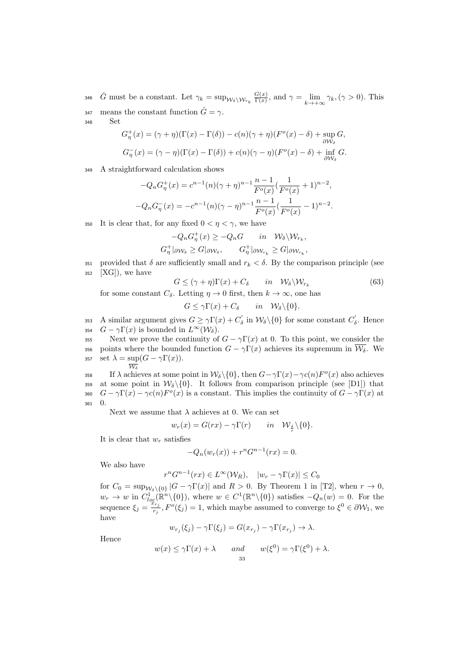$\hat{G}$  must be a constant. Let  $\gamma_k = \sup_{\mathcal{W}_{\delta} \setminus \mathcal{W}_{r_k}} \frac{G(x)}{\Gamma(x)}$ 346 G must be a constant. Let  $\gamma_k = \sup_{\mathcal{W}_\delta \backslash \mathcal{W}_{r_k}} \frac{G(x)}{\Gamma(x)}$ , and  $\gamma = \lim_{k \to +\infty} \gamma_k, (\gamma > 0)$ . This 347 means the constant function  $\hat{G} = \gamma$ .

<sup>348</sup> Set

$$
G_{\eta}^{+}(x) = (\gamma + \eta)(\Gamma(x) - \Gamma(\delta)) - c(n)(\gamma + \eta)(F^{o}(x) - \delta) + \sup_{\partial W_{\delta}} G,
$$
  

$$
G_{\eta}^{-}(x) = (\gamma - \eta)(\Gamma(x) - \Gamma(\delta)) + c(n)(\gamma - \eta)(F^{o}(x) - \delta) + \inf_{\partial W_{\delta}} G.
$$

<sup>349</sup> A straightforward calculation shows

$$
-Q_n G_\eta^+(x) = c^{n-1}(n)(\gamma + \eta)^{n-1} \frac{n-1}{F^o(x)} \left(\frac{1}{F^o(x)} + 1\right)^{n-2},
$$
  

$$
-Q_n G_\eta^-(x) = -c^{n-1}(n)(\gamma - \eta)^{n-1} \frac{n-1}{F^o(x)} \left(\frac{1}{F^o(x)} - 1\right)^{n-2}.
$$

350 It is clear that, for any fixed  $0 < \eta < \gamma$ , we have

$$
-Q_n G^+_\eta(x) \ge -Q_n G \quad in \quad \mathcal{W}_\delta \backslash \mathcal{W}_{r_k},
$$
  

$$
G^+_\eta |_{\partial \mathcal{W}_\delta} \ge G|_{\partial \mathcal{W}_\delta}, \qquad G^+_\eta |_{\partial \mathcal{W}_{r_k}} \ge G|_{\partial \mathcal{W}_{r_k}},
$$

351 provided that  $\delta$  are sufficiently small and  $r_k < \delta$ . By the comparison principle (see  $352$  [XG]), we have

$$
G \leq (\gamma + \eta)\Gamma(x) + C_{\delta} \qquad in \quad \mathcal{W}_{\delta} \backslash \mathcal{W}_{r_k} \tag{63}
$$

for some constant  $C_{\delta}$ . Letting  $\eta \to 0$  first, then  $k \to \infty$ , one has

$$
G \leq \gamma \Gamma(x) + C_{\delta} \quad in \quad \mathcal{W}_{\delta} \backslash \{0\}.
$$

353 A similar argument gives  $G \ge \gamma \Gamma(x) + C'_{\delta}$  in  $\mathcal{W}_{\delta} \setminus \{0\}$  for some constant  $C'_{\delta}$ . Hence 354  $G - \gamma \Gamma(x)$  is bounded in  $L^{\infty}(\mathcal{W}_{\delta}).$ 

355 Next we prove the continuity of  $G - \gamma \Gamma(x)$  at 0. To this point, we consider the 356 points where the bounded function  $G - \gamma \Gamma(x)$  achieves its supremum in  $\overline{\mathcal{W}_{\delta}}$ . We 357 set  $\lambda = \sup(G - \gamma \Gamma(x)).$  $\overline{W_s}$ 

358 If  $\lambda$  achieves at some point in  $\mathcal{W}_{\delta}\setminus\{0\}$ , then  $G-\gamma\Gamma(x)-\gamma c(n)F^o(x)$  also achieves 359 at some point in  $\mathcal{W}_{\delta}\backslash\{0\}$ . It follows from comparison principle (see [D1]) that 360  $G - \gamma \Gamma(x) - \gamma c(n) F^o(x)$  is a constant. This implies the continuity of  $G - \gamma \Gamma(x)$  at <sup>361</sup> 0.

Next we assume that  $\lambda$  achieves at 0. We can set

$$
w_r(x) = G(rx) - \gamma \Gamma(r) \qquad in \quad \mathcal{W}_{\frac{\delta}{r}} \setminus \{0\}.
$$

It is clear that  $w_r$  satisfies

$$
-Q_n(w_r(x)) + r^n G^{n-1}(rx) = 0.
$$

We also have

 $r^n G^{n-1}(rx) \in L^\infty(\mathcal{W}_R)$ ,  $|w_r - \gamma \Gamma(x)| \leq C_0$ 

for  $C_0 = \sup_{\mathcal{W}_\delta \setminus \{0\}} |G - \gamma \Gamma(x)|$  and  $R > 0$ . By Theorem 1 in [T2], when  $r \to 0$ ,  $w_r \to w$  in  $C_{loc}^1(\mathbb{R}^n \setminus \{0\})$ , where  $w \in C^1(\mathbb{R}^n \setminus \{0\})$  satisfies  $-Q_n(w) = 0$ . For the sequence  $\xi_j = \frac{\sum_{i}^{N} x_i}{r_j}$  $\frac{\partial f_{r_j}}{\partial r_j}$ ,  $F^o(\xi_j) = 1$ , which maybe assumed to converge to  $\xi^0 \in \partial \mathcal{W}_1$ , we have

Hence

$$
w(x) \le \gamma \Gamma(x) + \lambda
$$
 and  $w(\xi^0) = \gamma \Gamma(\xi^0) + \lambda$ .

 $w_{r_j}(\xi_j) - \gamma \Gamma(\xi_j) = G(x_{r_j}) - \gamma \Gamma(x_{r_j}) \rightarrow \lambda.$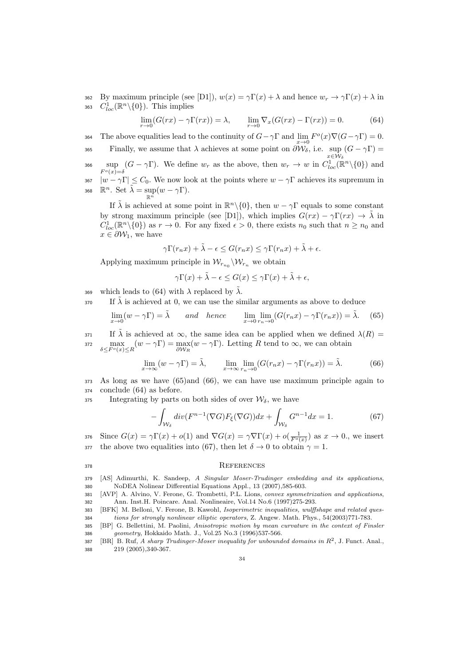362 By maximum principle (see [D1]),  $w(x) = \gamma \Gamma(x) + \lambda$  and hence  $w_r \to \gamma \Gamma(x) + \lambda$  in 363  $C^1_{loc}(\mathbb{R}^n\backslash\{0\})$ . This implies

$$
\lim_{r \to 0} (G(rx) - \gamma \Gamma(rx)) = \lambda, \qquad \lim_{r \to 0} \nabla_x (G(rx) - \Gamma(rx)) = 0. \tag{64}
$$

364 The above equalities lead to the continuity of  $G - \gamma \Gamma$  and  $\lim_{x \to 0} F^o(x) \nabla (G - \gamma \Gamma) = 0$ . Finally, we assume that  $\lambda$  achieves at some point on  $\partial \mathcal{W}_{\delta}$ , i.e. sup  $\lim_{x \in \mathcal{W}_{\delta}}$ 365 Finally, we assume that  $\lambda$  achieves at some point on  $\partial \mathcal{W}_{\delta}$ , i.e. sup  $(G - \gamma \Gamma)$ sup 366  $\sup_{F^o(x)=\delta} (G - \gamma \Gamma)$ . We define  $w_r$  as the above, then  $w_r \to w$  in  $C^1_{loc}(\mathbb{R}^n \setminus \{0\})$  and 367  $|w - \gamma \Gamma| \leq C_0$ . We now look at the points where  $w - \gamma \Gamma$  achieves its supremum in

368  $\mathbb{R}^n$ . Set  $\tilde{\lambda} = \sup_{\mathbb{R}^n} (w - \gamma \Gamma)$ .

If  $\tilde{\lambda}$  is achieved at some point in  $\mathbb{R}^n \setminus \{0\}$ , then  $w - \gamma \Gamma$  equals to some constant by strong maximum principle (see [D1]), which implies  $G(rx) - \gamma \Gamma(rx) \rightarrow \tilde{\lambda}$  in  $C^1_{loc}(\mathbb{R}^n\setminus\{0\})$  as  $r\to 0$ . For any fixed  $\epsilon>0$ , there exists  $n_0$  such that  $n\geq n_0$  and  $x \in \partial \mathcal{W}_1$ , we have

$$
\gamma \Gamma(r_n x) + \tilde{\lambda} - \epsilon \leq G(r_n x) \leq \gamma \Gamma(r_n x) + \tilde{\lambda} + \epsilon.
$$

Applying maximum principle in  $\mathcal{W}_{r_{n_0}}\backslash \mathcal{W}_{r_n}$  we obtain

$$
\gamma \Gamma(x) + \tilde{\lambda} - \epsilon \le G(x) \le \gamma \Gamma(x) + \tilde{\lambda} + \epsilon,
$$

369 which leads to (64) with  $\lambda$  replaced by  $\tilde{\lambda}$ .

 $I\{\tilde{\lambda}$  is achieved at 0, we can use the similar arguments as above to deduce

$$
\lim_{x \to 0} (w - \gamma \Gamma) = \tilde{\lambda} \quad \text{and hence} \quad \lim_{x \to 0} \lim_{r_n \to 0} (G(r_n x) - \gamma \Gamma(r_n x)) = \tilde{\lambda}. \tag{65}
$$

371 If  $\lambda$  is achieved at  $\infty$ , the same idea can be applied when we defined  $\lambda(R)$ 372  $\max_{\delta \leq F^o(x) \leq R} (w - \gamma \Gamma) = \max_{\partial \mathcal{W}_R} (w - \gamma \Gamma)$ . Letting R tend to  $\infty$ , we can obtain

$$
\lim_{x \to \infty} (w - \gamma \Gamma) = \tilde{\lambda}, \qquad \lim_{x \to \infty} \lim_{r_n \to 0} (G(r_n x) - \gamma \Gamma(r_n x)) = \tilde{\lambda}.
$$
 (66)

<sup>373</sup> As long as we have (65)and (66), we can have use maximum principle again to <sup>374</sup> conclude (64) as before.

375 Integrating by parts on both sides of over  $\mathcal{W}_{\delta}$ , we have

$$
-\int_{\mathcal{W}_{\delta}} div(F^{n-1}(\nabla G)F_{\xi}(\nabla G))dx + \int_{\mathcal{W}_{\delta}} G^{n-1}dx = 1.
$$
 (67)

376 Since  $G(x) = \gamma \Gamma(x) + o(1)$  and  $\nabla G(x) = \gamma \nabla \Gamma(x) + o(\frac{1}{F^o(x)})$  as  $x \to 0$ ., we insert 377 the above two equalities into (67), then let  $\delta \to 0$  to obtain  $\gamma = 1$ .

#### <sup>378</sup> References

- 379 [AS] Adimurthi, K. Sandeep, A Singular Moser-Trudinger embedding and its applications, 380 NoDEA Nolinear Differential Equations Appl., 13 (2007),585-603.
- 381 [AVP] A. Alvino, V. Ferone, G. Trombetti, P.L. Lions, convex symmetrization and applications, 382 Ann. Inst.H. Poincare. Anal. Nonlineaire, Vol.14 No.6 (1997)275-293.
- 383 [BFK] M. Belloni, V. Ferone, B. Kawohl, Isoperimetric inequalities, wulffshape and related ques-384 tions for strongly nonlinear elliptic operators, Z. Angew. Math. Phys., 54(2003)771-783.
- 385 [BP] G. Bellettini, M. Paolini, Anisotropic motion by mean curvature in the context of Finsler 386 geometry, Hokkaido Math. J., Vol.25 No.3 (1996)537-566.
- 387 [BR] B. Ruf, A sharp Trudinger-Moser inequality for unbounded domains in  $R^2$ , J. Funct. Anal., 388 219 (2005),340-367.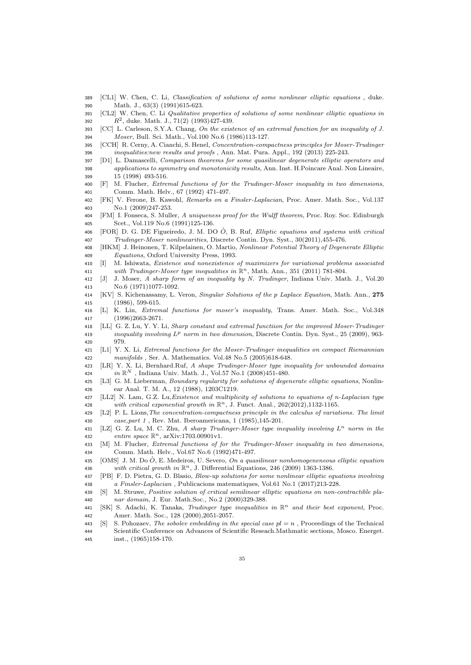- [CL1] W. Chen, C. Li, Classification of solutions of some nonlinear elliptic equations , duke. Math. J., 63(3) (1991)615-623.
- [CL2] W. Chen, C. Li Qualitative properties of solutions of some nonlinear elliptic equations in 392  $R^2$ , duke. Math. J., 71(2) (1993)427-439.
- [CC] L. Carleson, S.Y.A. Chang, On the existence of an extremal function for an inequality of J. Moser, Bull. Sci. Math., Vol.100 No.6 (1986)113-127.
- [CCH] R. Cerny, A. Cianchi, S. Henel, Concentration-compactness principles for Moser-Trudinger inequalities:new results and proofs , Ann. Mat. Pura. Appl., 192 (2013) 225-243.
- [D1] L. Damascelli, Comparison theorems for some quasilinear degenerate elliptic operators and applications to symmetry and monotonicity results, Ann. Inst. H.Poincare Anal. Non Lineaire, 15 (1998) 493-516.
- [F] M. Flucher, Extremal functions of for the Trudinger-Moser inequality in two dimensions, Comm. Math. Helv., 67 (1992) 471-497.
- [FK] V. Ferone, B. Kawohl, Remarks on a Finsler-Laplacian, Proc. Amer. Math. Soc., Vol.137 No.1 (2009)247-253.
- [FM] I. Fonseca, S. Muller, A uniqueness proof for the Wulff theorem, Proc. Roy. Soc. Edinburgh Scet., Vol.119 No.6 (1991)125-136.
- 406 [FOR] D. G. DE Figueiredo, J. M. DO  $\hat{O}$ , B. Ruf, *Elliptic equations and systems with critical* Trudinger-Moser nonlinearities, Discrete Contin. Dyn. Syst., 30(2011),455-476.
- [HKM] J. Heinonen, T. Kilpelainen, O. Martio, Nonlinear Potential Theory of Degenerate Elliptic Equations, Oxford University Press, 1993.
- [I] M. Ishiwata, Existence and nonexistence of maximizers for variational problems associated 411 with Trudinger-Moser type inequalities in  $\mathbb{R}^n$ , Math. Ann., 351 (2011) 781-804.
- [J] J. Moser, A sharp form of an inequality by N. Trudinger, Indiana Univ. Math. J., Vol.20 No.6 (1971)1077-1092.
- [KV] S. Kichenassamy, L. Veron, Singular Solutions of the p Laplace Equation, Math. Ann., 275 (1986), 599-615.
- [L] K. Lin, Extremal functions for moser's inequality, Trans. Amer. Math. Soc., Vol.348 (1996)2663-2671.
- [LL] G. Z. Lu, Y. Y. Li, Sharp constant and extremal functiion for the improved Moser-Trudinger inequality involving  $L^p$  norm in two dimension, Discrete Contin. Dyn. Syst., 25 (2009), 963-979.
- [L1] Y. X. Li, Extremal functions for the Moser-Trudinger inequalities on compact Riemannian manifolds , Ser. A. Mathematics. Vol.48 No.5 (2005)618-648.
- [LR] Y. X. Li, Bernhard.Ruf, A shape Trudinger-Moser type inequality for unbounded domains 424 in  $\mathbb{R}^N$ , Indiana Univ. Math. J., Vol.57 No.1 (2008)451-480.
- 425 [L3] G. M. Lieberman, Boundary regularity for solutions of degenerate elliptic equations, Nonlin-ear Anal. T. M. A., 12 (1988), 1203C1219.
- [LL2] N. Lam, G.Z. Lu,Existence and multiplicity of solutions to equations of n-Laplacian type 428 with critical exponential growth in  $\mathbb{R}^n$ , J. Funct. Anal., 262(2012),1132-1165.
- [L2] P. L. Lions,The concentration-compactness principle in the calculus of variations. The limit case,part 1 , Rev. Mat. Iberoamericana, 1 (1985),145-201.
- 431 [LZ] G. Z. Lu, M. C. Zhu, A sharp Trudinger-Moser type inequality involving  $L^n$  norm in the 432 *entire space*  $\mathbb{R}^n$ , arXiv:1703.00901v1.
- [M] M. Flucher, Extremal functions of for the Trudinger-Moser inequality in two dimensions, Comm. Math. Helv., Vol.67 No.6 (1992)471-497.
- 435 [OMS] J. M. Do  $\hat{O}$ , E. Medeiros, U. Severo, On a quasilinear nonhomogeneneous elliptic equation 436 with critical growth in  $\mathbb{R}^n$ , J. Differential Equations, 246 (2009) 1363-1386.
- [PB] F. D. Pietra, G. D. Blasio, Blow-up solutions for some nonlinear elliptic equations involving a Finsler-Laplacian , Publicacions matematiques, Vol.61 No.1 (2017)213-228.
- [S] M. Struwe, Positive solution of critical semilinear elliptic equations on non-contractible pla-nar domain, J. Eur. Math.Soc., No.2 (2000)329-388.
- 441 [SK] S. Adachi, K. Tanaka, Trudinger type inequalities in  $\mathbb{R}^n$  and their best exponent, Proc. Amer. Math. Soc., 128 (2000),2051-2057.
- 443 [S] S. Pohozaev, The sobolev embedding in the special case  $pl = n$ , Proceedings of the Technical Scientific Conference on Advances of Scientific Reseach.Mathmatic sections, Mosco. Energet.
- inst., (1965)158-170.